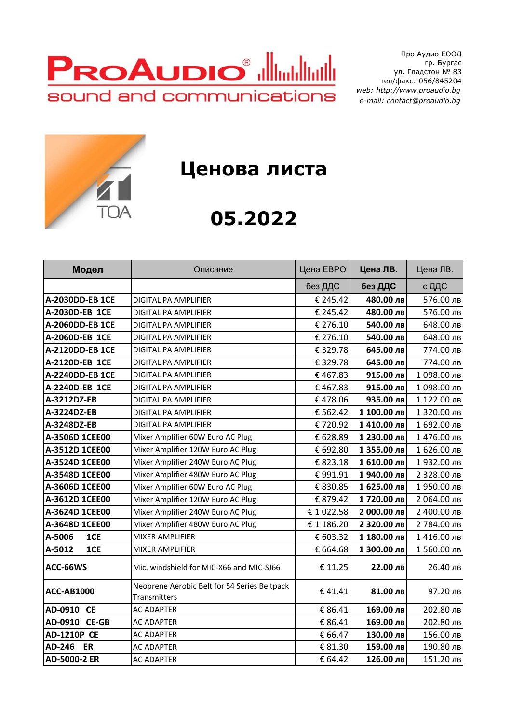

Про Аудио ЕООД гр. Бургас ул. Гладстон № 83 тел/факс: 056/845204  *web: http://www.proaudio.bg e-mail: contact@proaudio.bg*



## **Ценова листа**

## **05.2022**

| Модел                  | Описание                                                     | Цена ЕВРО  | Цена ЛВ.    | Цена ЛВ.    |
|------------------------|--------------------------------------------------------------|------------|-------------|-------------|
|                        |                                                              | без ДДС    | без ДДС     | с ДДС       |
| <b>A-2030DD-EB 1CE</b> | DIGITAL PA AMPLIFIER                                         | € 245.42   | 480.00 лв   | 576.00 лв   |
| A-2030D-EB 1CE         | DIGITAL PA AMPLIFIER                                         | € 245.42   | 480.00 лв   | 576.00 лв   |
| A-2060DD-EB 1CE        | DIGITAL PA AMPLIFIER                                         | € 276.10   | 540.00 лв   | 648.00 лв   |
| A-2060D-EB 1CE         | DIGITAL PA AMPLIFIER                                         | € 276.10   | 540.00 лв   | 648.00 лв   |
| A-2120DD-EB 1CE        | DIGITAL PA AMPLIFIER                                         | € 329.78   | 645.00 лв   | 774.00 лв   |
| A-2120D-EB 1CE         | DIGITAL PA AMPLIFIER                                         | € 329.78   | 645.00 лв   | 774.00 лв   |
| A-2240DD-EB 1CE        | DIGITAL PA AMPLIFIER                                         | €467.83    | 915.00 лв   | 1098.00 лв  |
| A-2240D-EB 1CE         | DIGITAL PA AMPLIFIER                                         | €467.83    | 915.00 лв   | 1098.00 лв  |
| A-3212DZ-EB            | DIGITAL PA AMPLIFIER                                         | €478.06    | 935.00 лв   | 1 122.00 лв |
| A-3224DZ-EB            | DIGITAL PA AMPLIFIER                                         | € 562.42   | 1 100.00 лв | 1 320.00 лв |
| A-3248DZ-EB            | DIGITAL PA AMPLIFIER                                         | €720.92    | 1410.00 лв  | 1 692.00 лв |
| A-3506D 1CEE00         | Mixer Amplifier 60W Euro AC Plug                             | € 628.89   | 1 230.00 лв | 1476.00 лв  |
| A-3512D 1CEE00         | Mixer Amplifier 120W Euro AC Plug                            | € 692.80   | 1 355.00 лв | 1 626.00 лв |
| A-3524D 1CEE00         | Mixer Amplifier 240W Euro AC Plug                            | € 823.18   | 1 610.00 лв | 1932.00 лв  |
| A-3548D 1CEE00         | Mixer Amplifier 480W Euro AC Plug                            | €991.91    | 1940.00 лв  | 2 328.00 лв |
| A-3606D 1CEE00         | Mixer Amplifier 60W Euro AC Plug                             | € 830.85   | 1 625.00 лв | 1950.00 лв  |
| A-3612D 1CEE00         | Mixer Amplifier 120W Euro AC Plug                            | € 879.42   | 1720.00 лв  | 2 064.00 лв |
| A-3624D 1CEE00         | Mixer Amplifier 240W Euro AC Plug                            | € 1 022.58 | 2 000.00 лв | 2 400.00 лв |
| A-3648D 1CEE00         | Mixer Amplifier 480W Euro AC Plug                            | € 1 186.20 | 2 320.00 лв | 2 784.00 лв |
| 1CE<br>A-5006          | <b>MIXER AMPLIFIER</b>                                       | € 603.32   | 1 180.00 лв | 1416.00 лв  |
| A-5012<br>1CE          | MIXER AMPLIFIER                                              | € 664.68   | 1 300.00 лв | 1560.00 лв  |
| ACC-66WS               | Mic. windshield for MIC-X66 and MIC-SJ66                     | € 11.25    | 22.00 лв    | 26.40 лв    |
| <b>ACC-AB1000</b>      | Neoprene Aerobic Belt for S4 Series Beltpack<br>Transmitters | €41.41     | 81.00 лв    | 97.20 лв    |
| AD-0910 CE             | <b>AC ADAPTER</b>                                            | € 86.41    | 169.00 лв   | 202.80 лв   |
| AD-0910 CE-GB          | <b>AC ADAPTER</b>                                            | € 86.41    | 169.00 лв   | 202.80 лв   |
| <b>AD-1210P CE</b>     | <b>AC ADAPTER</b>                                            | € 66.47    | 130.00 лв   | 156.00 лв   |
| AD-246 ER              | <b>AC ADAPTER</b>                                            | € 81.30    | 159.00 лв   | 190.80 лв   |
| AD-5000-2 ER           | <b>AC ADAPTER</b>                                            | € 64.42    | 126.00 лв   | 151.20 лв   |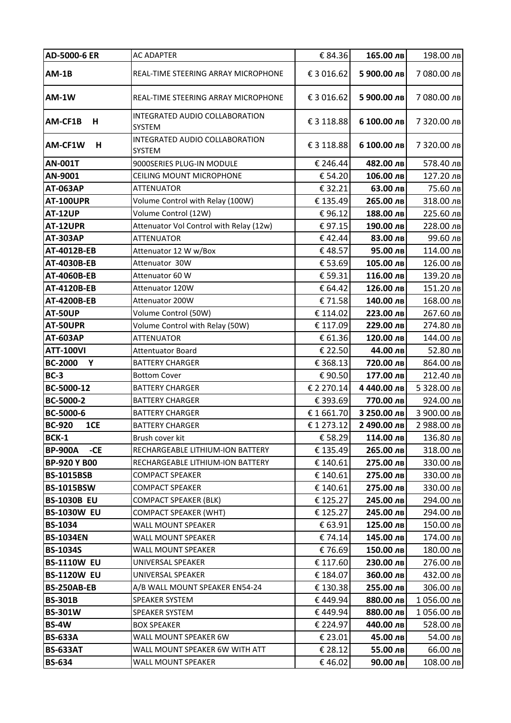| AD-5000-6 ER            | <b>AC ADAPTER</b>                               | € 84.36    | 165.00 лв   | 198.00 лв   |
|-------------------------|-------------------------------------------------|------------|-------------|-------------|
| $AM-1B$                 | REAL-TIME STEERING ARRAY MICROPHONE             | € 3 016.62 | 5 900.00 лв | 7 080.00 лв |
| <b>AM-1W</b>            | REAL-TIME STEERING ARRAY MICROPHONE             | € 3 016.62 | 5 900.00 лв | 7 080.00 лв |
| AM-CF1B<br>н            | INTEGRATED AUDIO COLLABORATION<br><b>SYSTEM</b> | € 3 118.88 | 6 100.00 лв | 7 320.00 лв |
| AM-CF1W<br>н            | INTEGRATED AUDIO COLLABORATION<br>SYSTEM        | € 3 118.88 | 6 100.00 лв | 7 320.00 лв |
| <b>AN-001T</b>          | 9000SERIES PLUG-IN MODULE                       | € 246.44   | 482.00 лв   | 578.40 лв   |
| AN-9001                 | CEILING MOUNT MICROPHONE                        | € 54.20    | 106.00 лв   | 127.20 лв   |
| <b>AT-063AP</b>         | <b>ATTENUATOR</b>                               | € 32.21    | 63.00 лв    | 75.60 лв    |
| <b>AT-100UPR</b>        | Volume Control with Relay (100W)                | € 135.49   | 265.00 лв   | 318.00 лв   |
| <b>AT-12UP</b>          | Volume Control (12W)                            | €96.12     | 188.00 лв   | 225.60 лв   |
| AT-12UPR                | Attenuator Vol Control with Relay (12w)         | €97.15     | 190.00 лв   | 228.00 лв   |
| <b>AT-303AP</b>         | <b>ATTENUATOR</b>                               | €42.44     | 83.00 лв    | 99.60 лв    |
| AT-4012B-EB             | Attenuator 12 W w/Box                           | €48.57     | 95.00 лв    | 114.00 лв   |
| AT-4030B-EB             | Attenuator 30W                                  | € 53.69    | 105.00 лв   | 126.00 лв   |
| AT-4060B-EB             | Attenuator 60 W                                 | € 59.31    | 116.00 лв   | 139.20 лв   |
| AT-4120B-EB             | Attenuator 120W                                 | € 64.42    | 126.00 лв   | 151.20 лв   |
| <b>AT-4200B-EB</b>      | Attenuator 200W                                 | €71.58     | 140.00 лв   | 168.00 лв   |
| <b>AT-50UP</b>          | Volume Control (50W)                            | € 114.02   | 223.00 лв   | 267.60 лв   |
| AT-50UPR                | Volume Control with Relay (50W)                 | € 117.09   | 229.00 лв   | 274.80 лв   |
| <b>AT-603AP</b>         | <b>ATTENUATOR</b>                               | € 61.36    | 120.00 лв   | 144.00 лв   |
| <b>ATT-100VI</b>        | <b>Attentuator Board</b>                        | € 22.50    | 44.00 лв    | 52.80 лв    |
| <b>BC-2000</b><br>Y     | <b>BATTERY CHARGER</b>                          | € 368.13   | 720.00 лв   | 864.00 лв   |
| $BC-3$                  | <b>Bottom Cover</b>                             | € 90.50    | 177.00 лв   | 212.40 лв   |
| BC-5000-12              | <b>BATTERY CHARGER</b>                          | € 2 270.14 | 4 440.00 лв | 5 328.00 лв |
| BC-5000-2               | <b>BATTERY CHARGER</b>                          | € 393.69   | 770.00 лв   | 924.00 лв   |
| BC-5000-6               | <b>BATTERY CHARGER</b>                          | €1661.70   | 3 250.00 лв | 3 900.00 лв |
| <b>BC-920</b><br>1CE    | <b>BATTERY CHARGER</b>                          | €1273.12   | 2 490.00 лв | 2 988.00 лв |
| BCK-1                   | Brush cover kit                                 | € 58.29    | 114.00 лв   | 136.80 лв   |
| <b>BP-900A</b><br>$-CE$ | RECHARGEABLE LITHIUM-ION BATTERY                | € 135.49   | 265.00 лв   | 318.00 лв   |
| <b>BP-920 Y B00</b>     | RECHARGEABLE LITHIUM-ION BATTERY                | € 140.61   | 275.00 лв   | 330.00 лв   |
| <b>BS-1015BSB</b>       | <b>COMPACT SPEAKER</b>                          | € 140.61   | 275.00 лв   | 330.00 лв   |
| <b>BS-1015BSW</b>       | <b>COMPACT SPEAKER</b>                          | € 140.61   | 275.00 лв   | 330.00 лв   |
| <b>BS-1030B EU</b>      | <b>COMPACT SPEAKER (BLK)</b>                    | € 125.27   | 245.00 лв   | 294.00 лв   |
| <b>BS-1030W EU</b>      | <b>COMPACT SPEAKER (WHT)</b>                    | € 125.27   | 245.00 лв   | 294.00 лв   |
| <b>BS-1034</b>          | WALL MOUNT SPEAKER                              | € 63.91    | 125.00 лв   | 150.00 лв   |
| <b>BS-1034EN</b>        | WALL MOUNT SPEAKER                              | € 74.14    | 145.00 лв   | 174.00 лв   |
| <b>BS-1034S</b>         | WALL MOUNT SPEAKER                              | €76.69     | 150.00 лв   | 180.00 лв   |
| <b>BS-1110W EU</b>      | UNIVERSAL SPEAKER                               | € 117.60   | 230.00 лв   | 276.00 лв   |
| <b>BS-1120W EU</b>      | UNIVERSAL SPEAKER                               | € 184.07   | 360.00 лв   | 432.00 лв   |
| <b>BS-250AB-EB</b>      | A/B WALL MOUNT SPEAKER EN54-24                  | € 130.38   | 255.00 лв   | 306.00 лв   |
| <b>BS-301B</b>          | SPEAKER SYSTEM                                  | €449.94    | 880.00 лв   | 1056.00 лв  |
| <b>BS-301W</b>          | SPEAKER SYSTEM                                  | €449.94    | 880.00 лв   | 1056.00 лв  |
| <b>BS-4W</b>            | <b>BOX SPEAKER</b>                              | € 224.97   | 440.00 лв   | 528.00 лв   |
| <b>BS-633A</b>          | WALL MOUNT SPEAKER 6W                           | € 23.01    | 45.00 лв    | 54.00 лв    |
| <b>BS-633AT</b>         | WALL MOUNT SPEAKER 6W WITH ATT                  | € 28.12    | 55.00 лв    | 66.00 лв    |
| <b>BS-634</b>           | WALL MOUNT SPEAKER                              | €46.02     | 90.00 лв    | 108.00 лв   |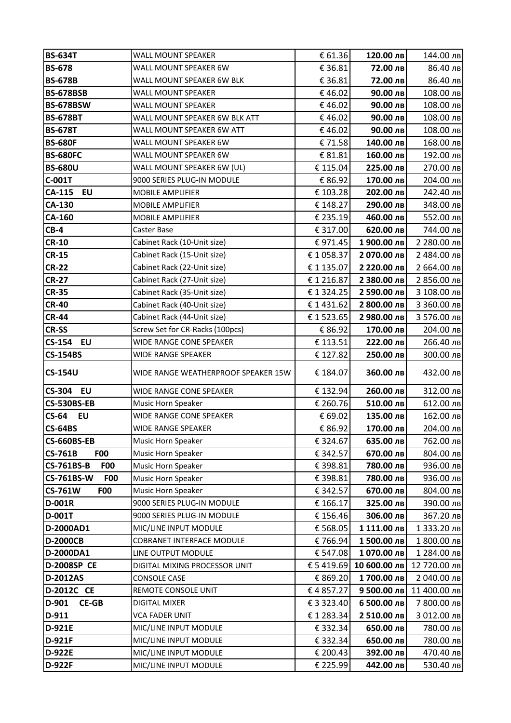| <b>BS-634T</b>                      | WALL MOUNT SPEAKER                             | € 61.36              | 120.00 лв              | 144.00 лв    |
|-------------------------------------|------------------------------------------------|----------------------|------------------------|--------------|
| <b>BS-678</b>                       | WALL MOUNT SPEAKER 6W                          | € 36.81              | 72.00 лв               | 86.40 лв     |
| <b>BS-678B</b>                      | WALL MOUNT SPEAKER 6W BLK                      | € 36.81              | 72.00 лв               | 86.40 лв     |
| <b>BS-678BSB</b>                    | WALL MOUNT SPEAKER                             | €46.02               | 90.00 лв               | 108.00 лв    |
| <b>BS-678BSW</b>                    | WALL MOUNT SPEAKER                             | €46.02               | 90.00 лв               | 108.00 лв    |
| <b>BS-678BT</b>                     | WALL MOUNT SPEAKER 6W BLK ATT                  | €46.02               | 90.00 лв               | 108.00 лв    |
| <b>BS-678T</b>                      | WALL MOUNT SPEAKER 6W ATT                      | €46.02               | 90.00 лв               | 108.00 лв    |
| <b>BS-680F</b>                      | WALL MOUNT SPEAKER 6W                          | €71.58               | 140.00 лв              | 168.00 лв    |
| <b>BS-680FC</b>                     | WALL MOUNT SPEAKER 6W                          | € 81.81              | 160.00 лв              | 192.00 лв    |
| <b>BS-680U</b>                      | WALL MOUNT SPEAKER 6W (UL)                     | € 115.04             | 225.00 лв              | 270.00 лв    |
| C-001T                              | 9000 SERIES PLUG-IN MODULE                     | € 86.92              | 170.00 лв              | 204.00 лв    |
| CA-115<br><b>EU</b>                 | MOBILE AMPLIFIER                               | € 103.28             | 202.00 лв              | 242.40 лв    |
| CA-130                              | MOBILE AMPLIFIER                               | € 148.27             | 290.00 лв              | 348.00 лв    |
| CA-160                              | MOBILE AMPLIFIER                               | € 235.19             | 460.00 лв              | 552.00 лв    |
| $CB-4$                              | Caster Base                                    | € 317.00             | 620.00 лв              | 744.00 лв    |
| <b>CR-10</b>                        | Cabinet Rack (10-Unit size)                    | € 971.45             | 1900.00 лв             | 2 280.00 лв  |
| <b>CR-15</b>                        | Cabinet Rack (15-Unit size)                    | €1058.37             | 2 070.00 лв            | 2 484.00 лв  |
| <b>CR-22</b>                        | Cabinet Rack (22-Unit size)                    | € 1 135.07           | 2 220.00 лв            | 2 664.00 лв  |
| <b>CR-27</b>                        | Cabinet Rack (27-Unit size)                    | €1216.87             | 2 380.00 лв            | 2 856.00 лв  |
| <b>CR-35</b>                        | Cabinet Rack (35-Unit size)                    | € 1 324.25           | 2 590.00 лв            | 3 108.00 лв  |
| <b>CR-40</b>                        | Cabinet Rack (40-Unit size)                    | € 1 431.62           | 2 800.00 лв            | 3 360.00 лв  |
| <b>CR-44</b>                        | Cabinet Rack (44-Unit size)                    | € 1 523.65           | 2 980.00 лв            | 3 576.00 лв  |
| <b>CR-SS</b>                        | Screw Set for CR-Racks (100pcs)                | € 86.92              | 170.00 лв              | 204.00 лв    |
| <b>CS-154 EU</b>                    | WIDE RANGE CONE SPEAKER                        | € 113.51             | 222.00 лв              | 266.40 лв    |
| <b>CS-154BS</b>                     | WIDE RANGE SPEAKER                             | € 127.82             | 250.00 лв              | 300.00 лв    |
| <b>CS-154U</b>                      | WIDE RANGE WEATHERPROOF SPEAKER 15W            | € 184.07             | 360.00 лв              | 432.00 лв    |
| EU<br><b>CS-304</b>                 | WIDE RANGE CONE SPEAKER                        | € 132.94             | 260.00 лв              | 312.00 лв    |
| <b>CS-530BS-EB</b>                  | Music Horn Speaker                             | € 260.76             | 510.00 лв              | 612.00 лв    |
| $CS-64$<br>EU                       | <b>WIDE RANGE CONE SPEAKER</b>                 | € 69.02              | 135.00 лв              | 162.00 лв    |
| <b>CS-64BS</b>                      | <b>WIDE RANGE SPEAKER</b>                      | € 86.92              | 170.00 лв              | 204.00 лв    |
| <b>CS-660BS-EB</b>                  | Music Horn Speaker                             | € 324.67             | 635.00 лв              | 762.00 лв    |
| <b>CS-761B</b><br>F <sub>0</sub>    | Music Horn Speaker                             | € 342.57             | 670.00 лв              | 804.00 лв    |
| F <sub>0</sub><br><b>CS-761BS-B</b> | Music Horn Speaker                             | € 398.81             | 780.00 лв              |              |
|                                     |                                                |                      |                        | 936.00 лв    |
| <b>CS-761BS-W</b><br>F <sub>0</sub> | Music Horn Speaker                             | € 398.81             | 780.00 лв              | 936.00 лв    |
| <b>CS-761W</b><br>F <sub>0</sub>    | Music Horn Speaker                             | € 342.57             | 670.00 лв              | 804.00 лв    |
| D-001R                              | 9000 SERIES PLUG-IN MODULE                     | € 166.17             | 325.00 лв              | 390.00 лв    |
| D-001T                              | 9000 SERIES PLUG-IN MODULE                     | € 156.46             | 306.00 лв              | 367.20 лв    |
| D-2000AD1                           | MIC/LINE INPUT MODULE                          | € 568.05             | 1 111.00 лв            | 1 333.20 лв  |
| <b>D-2000CB</b>                     | COBRANET INTERFACE MODULE                      | € 766.94             | 1500.00 лв             | 1 800.00 лв  |
| D-2000DA1                           | LINE OUTPUT MODULE                             | € 547.08             | 1070.00 лв             | 1 284.00 лв  |
| <b>D-2008SP CE</b>                  | DIGITAL MIXING PROCESSOR UNIT                  | € 5419.69            | 10 600.00 лв           | 12 720.00 лв |
| D-2012AS                            | <b>CONSOLE CASE</b>                            | € 869.20             | 1700.00 лв             | 2 040.00 лв  |
| D-2012C CE                          | REMOTE CONSOLE UNIT                            | €4857.27             | 9 500.00 лв            | 11 400.00 лв |
| D-901<br>$CE-GB$                    | <b>DIGITAL MIXER</b>                           | € 3 323.40           | 6 500.00 лв            | 7 800.00 лв  |
| D-911                               | VCA FADER UNIT                                 | €1283.34             | 2 510.00 лв            | 3 012.00 лв  |
| D-921E                              | MIC/LINE INPUT MODULE                          | € 332.34             | 650.00 лв              | 780.00 лв    |
| D-921F                              | MIC/LINE INPUT MODULE                          | € 332.34             | 650.00 лв              | 780.00 лв    |
| D-922E<br>D-922F                    | MIC/LINE INPUT MODULE<br>MIC/LINE INPUT MODULE | € 200.43<br>€ 225.99 | 392.00 лв<br>442.00 лв | 470.40 лв    |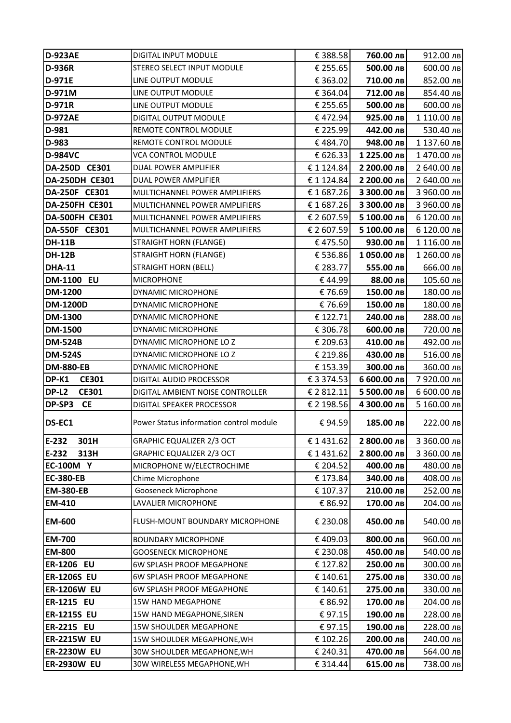| <b>D-923AE</b>        | DIGITAL INPUT MODULE                    | € 388.58   | 760.00 лв   | 912.00 лв   |
|-----------------------|-----------------------------------------|------------|-------------|-------------|
| <b>D-936R</b>         | STEREO SELECT INPUT MODULE              | € 255.65   | 500.00 лв   | 600.00 лв   |
| D-971E                | LINE OUTPUT MODULE                      | € 363.02   | 710.00 лв   | 852.00 лв   |
| D-971M                | LINE OUTPUT MODULE                      | € 364.04   | 712.00 лв   | 854.40 лв   |
| <b>D-971R</b>         | LINE OUTPUT MODULE                      | € 255.65   | 500.00 лв   | 600.00 лв   |
| <b>D-972AE</b>        | DIGITAL OUTPUT MODULE                   | €472.94    | 925.00 лв   | 1 110.00 лв |
| D-981                 | REMOTE CONTROL MODULE                   | € 225.99   | 442.00 лв   | 530.40 лв   |
| D-983                 | REMOTE CONTROL MODULE                   | €484.70    | 948.00 лв   | 1 137.60 лв |
| <b>D-984VC</b>        | <b>VCA CONTROL MODULE</b>               | € 626.33   | 1 225.00 лв | 1470.00 лв  |
| DA-250D CE301         | DUAL POWER AMPLIFIER                    | €1124.84   | 2 200.00 лв | 2 640.00 лв |
| <b>DA-250DH CE301</b> | DUAL POWER AMPLIFIER                    | €1124.84   | 2 200.00 лв | 2 640.00 лв |
| DA-250F CE301         | MULTICHANNEL POWER AMPLIFIERS           | €1687.26   | 3 300.00 лв | 3 960.00 лв |
| DA-250FH CE301        | MULTICHANNEL POWER AMPLIFIERS           | €1687.26   | 3 300.00 лв | 3 960.00 лв |
| <b>DA-500FH CE301</b> | MULTICHANNEL POWER AMPLIFIERS           | € 2 607.59 | 5 100.00 лв | 6 120.00 лв |
| DA-550F CE301         | MULTICHANNEL POWER AMPLIFIERS           | € 2 607.59 | 5 100.00 лв | 6 120.00 лв |
| <b>DH-11B</b>         | STRAIGHT HORN (FLANGE)                  | €475.50    | 930.00 лв   | 1 116.00 лв |
| <b>DH-12B</b>         | STRAIGHT HORN (FLANGE)                  | € 536.86   | 1050.00 лв  | 1 260.00 лв |
| <b>DHA-11</b>         | <b>STRAIGHT HORN (BELL)</b>             | € 283.77   | 555.00 лв   | 666.00 лв   |
| <b>DM-1100 EU</b>     | <b>MICROPHONE</b>                       | €44.99     | 88.00 лв    | 105.60 лв   |
| <b>DM-1200</b>        | DYNAMIC MICROPHONE                      | €76.69     | 150.00 лв   | 180.00 лв   |
| <b>DM-1200D</b>       | DYNAMIC MICROPHONE                      | €76.69     | 150.00 лв   | 180.00 лв   |
| <b>DM-1300</b>        | DYNAMIC MICROPHONE                      | € 122.71   | 240.00 лв   | 288.00 лв   |
| <b>DM-1500</b>        | DYNAMIC MICROPHONE                      | € 306.78   | 600.00 лв   | 720.00 лв   |
| <b>DM-524B</b>        | DYNAMIC MICROPHONE LO Z                 | € 209.63   | 410.00 лв   | 492.00 лв   |
| <b>DM-524S</b>        | DYNAMIC MICROPHONE LO Z                 | € 219.86   | 430.00 лв   | 516.00 лв   |
| <b>DM-880-EB</b>      | DYNAMIC MICROPHONE                      | € 153.39   | 300.00 лв   | 360.00 лв   |
| DP-K1<br><b>CE301</b> | <b>DIGITAL AUDIO PROCESSOR</b>          | € 3 374.53 | 6 600.00 лв | 7 920.00 лв |
| DP-L2<br><b>CE301</b> | DIGITAL AMBIENT NOISE CONTROLLER        | € 2 812.11 | 5 500.00 лв | 6 600.00 лв |
| DP-SP3<br><b>CE</b>   | DIGITAL SPEAKER PROCESSOR               | € 2 198.56 | 4 300.00 лв | 5 160.00 лв |
| DS-EC1                | Power Status information control module | €94.59     | 185.00 лв   | 222.00 лв   |
| $E-232$<br>301H       | <b>GRAPHIC EQUALIZER 2/3 OCT</b>        | € 1431.62  | 2 800.00 лв | 3 360.00 лв |
| $E-232$<br>313H       | GRAPHIC EQUALIZER 2/3 OCT               | €1431.62   | 2 800.00 лв | 3 360.00 лв |
| <b>EC-100M Y</b>      | MICROPHONE W/ELECTROCHIME               | € 204.52   | 400.00 лв   | 480.00 лв   |
| <b>EC-380-EB</b>      | Chime Microphone                        | € 173.84   | 340.00 лв   | 408.00 лв   |
| <b>EM-380-EB</b>      | Gooseneck Microphone                    | € 107.37   | 210.00 лв   | 252.00 лв   |
| <b>EM-410</b>         | LAVALIER MICROPHONE                     | € 86.92    | 170.00 лв   | 204.00 лв   |
| <b>EM-600</b>         | FLUSH-MOUNT BOUNDARY MICROPHONE         | € 230.08   | 450.00 лв   | 540.00 лв   |
| <b>EM-700</b>         | <b>BOUNDARY MICROPHONE</b>              | €409.03    | 800.00 лв   | 960.00 лв   |
| <b>EM-800</b>         | <b>GOOSENECK MICROPHONE</b>             | € 230.08   | 450.00 лв   | 540.00 лв   |
| <b>ER-1206 EU</b>     | 6W SPLASH PROOF MEGAPHONE               | € 127.82   | 250.00 лв   | 300.00 лв   |
| <b>ER-1206S EU</b>    | 6W SPLASH PROOF MEGAPHONE               | € 140.61   | 275.00 лв   | 330.00 лв   |
| <b>ER-1206W EU</b>    | 6W SPLASH PROOF MEGAPHONE               | € 140.61   | 275.00 лв   | 330.00 лв   |
| <b>ER-1215 EU</b>     | <b>15W HAND MEGAPHONE</b>               | € 86.92    | 170.00 лв   | 204.00 лв   |
| <b>ER-1215S EU</b>    | 15W HAND MEGAPHONE, SIREN               | €97.15     | 190.00 лв   | 228.00 лв   |
| <b>ER-2215 EU</b>     | <b>15W SHOULDER MEGAPHONE</b>           | €97.15     | 190.00 лв   | 228.00 лв   |
| <b>ER-2215W EU</b>    | 15W SHOULDER MEGAPHONE, WH              | € 102.26   | 200.00 лв   | 240.00 лв   |
| <b>ER-2230W EU</b>    | 30W SHOULDER MEGAPHONE, WH              | € 240.31   | 470.00 лв   | 564.00 лв   |
| <b>ER-2930W EU</b>    | 30W WIRELESS MEGAPHONE, WH              | € 314.44   | 615.00 лв   | 738.00 лв   |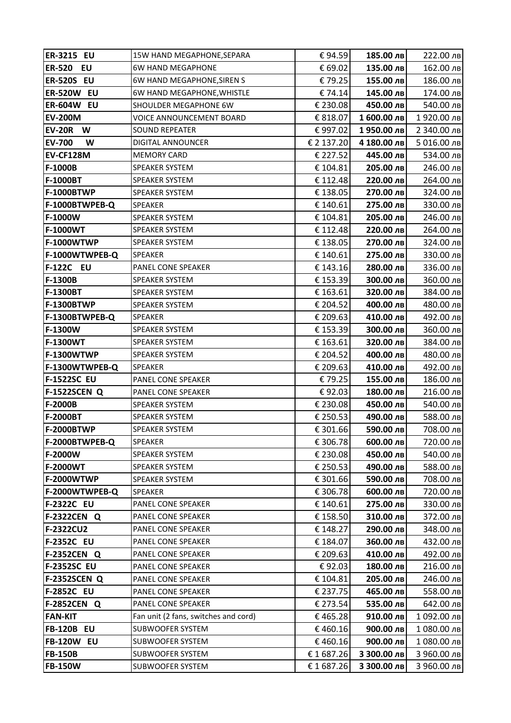| <b>ER-3215 EU</b>                        | 15W HAND MEGAPHONE, SEPARA               | €94.59               | 185.00 лв              | 222.00 лв              |
|------------------------------------------|------------------------------------------|----------------------|------------------------|------------------------|
| <b>ER-520</b><br><b>EU</b>               | 6W HAND MEGAPHONE                        | € 69.02              | 135.00 лв              | 162.00 лв              |
| <b>ER-520S EU</b>                        | 6W HAND MEGAPHONE, SIREN S               | €79.25               | 155.00 лв              | 186.00 лв              |
| <b>ER-520W EU</b>                        | 6W HAND MEGAPHONE, WHISTLE               | €74.14               | 145.00 лв              | 174.00 лв              |
| <b>ER-604W EU</b>                        | SHOULDER MEGAPHONE 6W                    | € 230.08             | 450.00 лв              | 540.00 лв              |
| <b>EV-200M</b>                           | VOICE ANNOUNCEMENT BOARD                 | € 818.07             | 1 600.00 лв            | 1920.00 лв             |
| <b>EV-20R</b><br>W                       | SOUND REPEATER                           | €997.02              | 1950.00 лв             | 2 340.00 лв            |
| <b>EV-700</b><br>W                       | DIGITAL ANNOUNCER                        | € 2 137.20           | 4 180.00 лв            | 5 016.00 лв            |
| EV-CF128M                                | <b>MEMORY CARD</b>                       | € 227.52             | 445.00 лв              | 534.00 лв              |
| F-1000B                                  | SPEAKER SYSTEM                           | € 104.81             | 205.00 лв              | 246.00 лв              |
| <b>F-1000BT</b>                          | SPEAKER SYSTEM                           | € 112.48             | 220.00 лв              | 264.00 лв              |
| <b>F-1000BTWP</b>                        | SPEAKER SYSTEM                           | € 138.05             | 270.00 лв              | 324.00 лв              |
| F-1000BTWPEB-Q                           | <b>SPEAKER</b>                           | € 140.61             | 275.00 лв              | 330.00 лв              |
| F-1000W                                  | SPEAKER SYSTEM                           | € 104.81             | 205.00 лв              | 246.00 лв              |
| <b>F-1000WT</b>                          | SPEAKER SYSTEM                           | € 112.48             | 220.00 лв              | 264.00 лв              |
| <b>F-1000WTWP</b>                        | SPEAKER SYSTEM                           | € 138.05             | 270.00 лв              | 324.00 лв              |
| F-1000WTWPEB-Q                           | SPEAKER                                  | € 140.61             | 275.00 лв              | 330.00 лв              |
| <b>F-122C EU</b>                         | PANEL CONE SPEAKER                       | € 143.16             | 280.00 лв              | 336.00 лв              |
| F-1300B                                  | <b>SPEAKER SYSTEM</b>                    | € 153.39             | 300.00 лв              | 360.00 лв              |
| <b>F-1300BT</b>                          | <b>SPEAKER SYSTEM</b>                    | € 163.61             | 320.00 лв              | 384.00 лв              |
| <b>F-1300BTWP</b>                        | SPEAKER SYSTEM                           | € 204.52             | 400.00 лв              | 480.00 лв              |
| F-1300BTWPEB-Q                           | SPEAKER                                  | € 209.63             | 410.00 лв              | 492.00 лв              |
| F-1300W                                  | SPEAKER SYSTEM                           | € 153.39             | 300.00 лв              | 360.00 лв              |
| <b>F-1300WT</b>                          | SPEAKER SYSTEM                           | € 163.61             | 320.00 лв              | 384.00 лв              |
| <b>F-1300WTWP</b>                        | SPEAKER SYSTEM                           | € 204.52             | 400.00 лв              | 480.00 лв              |
| F-1300WTWPEB-Q                           | <b>SPEAKER</b>                           | € 209.63             | 410.00 лв              | 492.00 лв              |
| <b>F-1522SC EU</b>                       | PANEL CONE SPEAKER                       | €79.25               | 155.00 лв              | 186.00 лв              |
| <b>F-1522SCEN Q</b>                      | PANEL CONE SPEAKER                       | €92.03               | 180.00 лв              | 216.00 лв              |
| <b>F-2000B</b>                           | SPEAKER SYSTEM                           | € 230.08             | 450.00 лв              | 540.00 лв              |
| <b>F-2000BT</b>                          | SPEAKER SYSTEM                           | € 250.53             | 490.00 лв              | 588.00 лв              |
| <b>F-2000BTWP</b>                        | <b>SPEAKER SYSTEM</b>                    | € 301.66             | 590.00 лв              | 708.00 лв              |
| F-2000BTWPEB-Q                           | <b>SPEAKER</b>                           | € 306.78             | 600.00 лв              | 720.00 лв              |
| F-2000W                                  | SPEAKER SYSTEM                           | € 230.08             | 450.00 лв              | 540.00 лв              |
| <b>F-2000WT</b>                          | SPEAKER SYSTEM                           | € 250.53             | 490.00 лв              | 588.00 лв              |
| <b>F-2000WTWP</b>                        | SPEAKER SYSTEM                           | € 301.66             | 590.00 лв              | 708.00 лв              |
| F-2000WTWPEB-Q                           | SPEAKER                                  | € 306.78             | 600.00 лв              | 720.00 лв              |
| <b>F-2322C EU</b>                        | PANEL CONE SPEAKER                       | € 140.61             | 275.00 лв              | 330.00 лв              |
| <b>F-2322CEN Q</b>                       | PANEL CONE SPEAKER                       | € 158.50             | 310.00 лв              | 372.00 лв              |
| <b>F-2322CU2</b>                         | PANEL CONE SPEAKER                       | € 148.27             | 290.00 лв              | 348.00 лв              |
| <b>F-2352C EU</b>                        | PANEL CONE SPEAKER                       | € 184.07             | 360.00 лв              | 432.00 лв              |
| <b>F-2352CEN Q</b>                       | PANEL CONE SPEAKER                       | € 209.63             | 410.00 лв              | 492.00 лв              |
| <b>F-2352SC EU</b>                       | PANEL CONE SPEAKER                       | €92.03               | 180.00 лв              | 216.00 лв              |
| <b>F-2352SCEN Q</b><br><b>F-2852C EU</b> | PANEL CONE SPEAKER<br>PANEL CONE SPEAKER | € 104.81<br>€ 237.75 | 205.00 лв<br>465.00 лв | 246.00 лв<br>558.00 лв |
| <b>F-2852CEN Q</b>                       | PANEL CONE SPEAKER                       | € 273.54             | 535.00 лв              | 642.00 лв              |
| <b>FAN-KIT</b>                           | Fan unit (2 fans, switches and cord)     | €465.28              | 910.00 лв              | 1 092.00 лв            |
| <b>FB-120B EU</b>                        | SUBWOOFER SYSTEM                         | €460.16              | 900.00 лв              | 1 080.00 лв            |
| <b>FB-120W EU</b>                        | SUBWOOFER SYSTEM                         | €460.16              | 900.00 лв              | 1080.00 лв             |
| <b>FB-150B</b>                           | SUBWOOFER SYSTEM                         | €1687.26             | 3 300.00 лв            | 3 960.00 лв            |
| <b>FB-150W</b>                           | SUBWOOFER SYSTEM                         | €1687.26             | 3 300.00 лв            | 3 960.00 лв            |
|                                          |                                          |                      |                        |                        |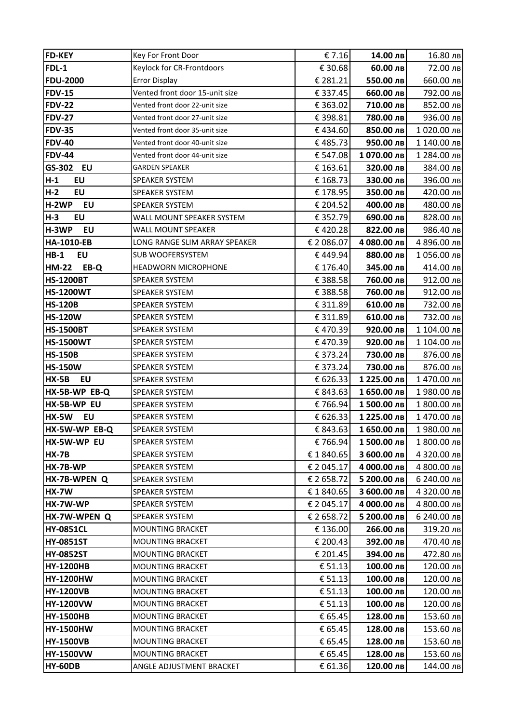| <b>FD-KEY</b>                        | Key For Front Door                          | € 7.16              | 14.00 лв               | 16.80 лв               |
|--------------------------------------|---------------------------------------------|---------------------|------------------------|------------------------|
| FDL-1                                | Keylock for CR-Frontdoors                   | € 30.68             | 60.00 лв               | 72.00 лв               |
| <b>FDU-2000</b>                      | <b>Error Display</b>                        | € 281.21            | 550.00 лв              | 660.00 лв              |
| <b>FDV-15</b>                        | Vented front door 15-unit size              | € 337.45            | 660.00 лв              | 792.00 лв              |
| <b>FDV-22</b>                        | Vented front door 22-unit size              | € 363.02            | 710.00 лв              | 852.00 лв              |
| <b>FDV-27</b>                        | Vented front door 27-unit size              | € 398.81            | 780.00 лв              | 936.00 лв              |
| <b>FDV-35</b>                        | Vented front door 35-unit size              | €434.60             | 850.00 лв              | 1020.00 лв             |
| <b>FDV-40</b>                        | Vented front door 40-unit size              | €485.73             | 950.00 лв              | 1 140.00 лв            |
| <b>FDV-44</b>                        | Vented front door 44-unit size              | € 547.08            | 1070.00 лв             | 1 284.00 лв            |
| <b>EU</b><br>GS-302                  | <b>GARDEN SPEAKER</b>                       | € 163.61            | 320.00 лв              | 384.00 лв              |
| $H-1$<br>EU                          | SPEAKER SYSTEM                              | € 168.73            | 330.00 лв              | 396.00 лв              |
| $H-2$<br>EU                          | SPEAKER SYSTEM                              | € 178.95            | 350.00 лв              | 420.00 лв              |
| H-2WP<br>EU                          | <b>SPEAKER SYSTEM</b>                       | € 204.52            | 400.00 лв              | 480.00 лв              |
| H-3<br><b>EU</b>                     | WALL MOUNT SPEAKER SYSTEM                   | € 352.79            | 690.00 лв              | 828.00 лв              |
| H-3WP<br>EU                          | WALL MOUNT SPEAKER                          | €420.28             | 822.00 лв              | 986.40 лв              |
| <b>HA-1010-EB</b>                    | LONG RANGE SLIM ARRAY SPEAKER               | € 2 086.07          | 4 080.00 лв            | 4 896.00 лв            |
| <b>HB-1</b><br><b>EU</b>             | SUB WOOFERSYSTEM                            | €449.94             | 880.00 лв              | 1056.00 лв             |
| <b>HM-22</b><br>EB-Q                 | <b>HEADWORN MICROPHONE</b>                  | € 176.40            | 345.00 лв              | 414.00 лв              |
| <b>HS-1200BT</b>                     | <b>SPEAKER SYSTEM</b>                       | € 388.58            | 760.00 лв              | 912.00 лв              |
| <b>HS-1200WT</b>                     | SPEAKER SYSTEM                              | € 388.58            | 760.00 лв              | 912.00 лв              |
| <b>HS-120B</b>                       | SPEAKER SYSTEM                              | € 311.89            | 610.00 лв              | 732.00 лв              |
| <b>HS-120W</b>                       | SPEAKER SYSTEM                              | € 311.89            | 610.00 лв              | 732.00 лв              |
| <b>HS-1500BT</b>                     | SPEAKER SYSTEM                              | €470.39             | 920.00 лв              | 1 104.00 лв            |
| <b>HS-1500WT</b>                     | SPEAKER SYSTEM                              | €470.39             | 920.00 лв              | 1 104.00 лв            |
| <b>HS-150B</b>                       | SPEAKER SYSTEM                              | € 373.24            | 730.00 лв              | 876.00 лв              |
| <b>HS-150W</b>                       | SPEAKER SYSTEM                              | € 373.24            | 730.00 лв              | 876.00 лв              |
| <b>HX-5B</b><br>EU                   | SPEAKER SYSTEM                              | € 626.33            | 1 225.00 лв            | 1470.00 лв             |
| HX-5B-WP EB-Q                        | <b>SPEAKER SYSTEM</b>                       | € 843.63            | 1 650.00 лв            | 1980.00 лв             |
| HX-5B-WP EU                          | SPEAKER SYSTEM                              | €766.94             | 1500.00 лв             | 1 800.00 лв            |
| <b>HX-5W</b><br>EU                   | SPEAKER SYSTEM                              | € 626.33            | 1 225.00 лв            | 1470.00 лв             |
| HX-5W-WP EB-Q                        | <b>SPEAKER SYSTEM</b>                       | € 843.63            | 1650.00 лв             | 1980.00 лв             |
| HX-5W-WP EU                          | <b>SPEAKER SYSTEM</b>                       | € 766.94            | 1500.00 лв             | 1 800.00 лв            |
| <b>HX-7B</b>                         | SPEAKER SYSTEM                              | €1840.65            | 3 600.00 лв            | 4 320.00 лв            |
| HX-7B-WP                             | SPEAKER SYSTEM                              | € 2 045.17          | 4 000.00 лв            | 4 800.00 лв            |
| HX-7B-WPEN Q                         | SPEAKER SYSTEM                              | € 2 658.72          | 5 200.00 лв            | 6 240.00 лв            |
| <b>HX-7W</b>                         | SPEAKER SYSTEM                              | €1840.65            | 3 600.00 лв            | 4 320.00 лв            |
| HX-7W-WP                             | SPEAKER SYSTEM                              | € 2 045.17          | 4 000.00 лв            | 4 800.00 лв            |
| HX-7W-WPEN Q                         | <b>SPEAKER SYSTEM</b>                       | € 2 658.72          | 5 200.00 лв            | 6 240.00 лв            |
| <b>HY-0851CL</b>                     | <b>MOUNTING BRACKET</b>                     | € 136.00            | 266.00 лв              | 319.20 лв              |
| <b>HY-0851ST</b>                     | <b>MOUNTING BRACKET</b>                     | € 200.43            | 392.00 лв              | 470.40 лв              |
| <b>HY-0852ST</b><br><b>HY-1200HB</b> | MOUNTING BRACKET<br><b>MOUNTING BRACKET</b> | € 201.45<br>€ 51.13 | 394.00 лв<br>100.00 лв | 472.80 лв<br>120.00 лв |
| <b>HY-1200HW</b>                     | <b>MOUNTING BRACKET</b>                     | € 51.13             | 100.00 лв              | 120.00 лв              |
| <b>HY-1200VB</b>                     | <b>MOUNTING BRACKET</b>                     | € 51.13             | 100.00 лв              | 120.00 лв              |
| <b>HY-1200VW</b>                     | <b>MOUNTING BRACKET</b>                     | € 51.13             | 100.00 лв              | 120.00 лв              |
| <b>HY-1500HB</b>                     | MOUNTING BRACKET                            | € 65.45             | 128.00 лв              | 153.60 лв              |
| <b>HY-1500HW</b>                     | MOUNTING BRACKET                            | € 65.45             | 128.00 лв              | 153.60 лв              |
| <b>HY-1500VB</b>                     | MOUNTING BRACKET                            | € 65.45             | 128.00 лв              | 153.60 лв              |
| <b>HY-1500VW</b>                     | <b>MOUNTING BRACKET</b>                     | € 65.45             | 128.00 лв              | 153.60 лв              |
| <b>HY-60DB</b>                       | ANGLE ADJUSTMENT BRACKET                    | € 61.36             | 120.00 лв              | 144.00 лв              |
|                                      |                                             |                     |                        |                        |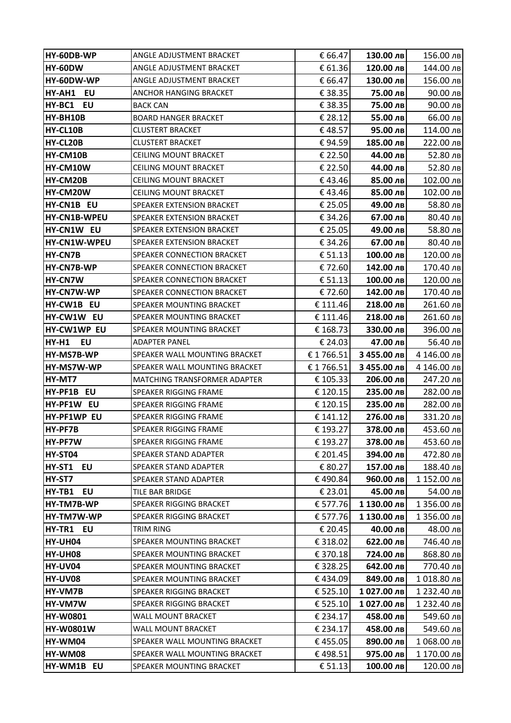| <b>HY-60DB-WP</b> | ANGLE ADJUSTMENT BRACKET            | € 66.47  | 130.00 лв   | 156.00 лв                 |
|-------------------|-------------------------------------|----------|-------------|---------------------------|
| HY-60DW           | ANGLE ADJUSTMENT BRACKET            | € 61.36  | 120.00 лв   | 144.00 лв                 |
| HY-60DW-WP        | ANGLE ADJUSTMENT BRACKET            | € 66.47  | 130.00 лв   | 156.00 лв                 |
| HY-AH1 EU         | ANCHOR HANGING BRACKET              | € 38.35  | 75.00 лв    | $90.00 \text{ }\text{dB}$ |
| HY-BC1<br>EU      | BACK CAN                            | € 38.35  | 75.00 лв    | 90.00 лв                  |
| HY-BH10B          | <b>BOARD HANGER BRACKET</b>         | € 28.12  | 55.00 лв    | 66.00 лв                  |
| HY-CL10B          | <b>CLUSTERT BRACKET</b>             | €48.57   | 95.00 лв    | 114.00 лв                 |
| HY-CL20B          | <b>CLUSTERT BRACKET</b>             | €94.59   | 185.00 лв   | 222.00 лв                 |
| HY-CM10B          | <b>CEILING MOUNT BRACKET</b>        | € 22.50  | 44.00 лв    | 52.80 лв                  |
| HY-CM10W          | <b>CEILING MOUNT BRACKET</b>        | € 22.50  | 44.00 лв    | 52.80 лв                  |
| HY-CM20B          | CEILING MOUNT BRACKET               | €43.46   | 85.00 лв    | 102.00 лв                 |
| HY-CM20W          | <b>CEILING MOUNT BRACKET</b>        | €43.46   | 85.00 лв    | 102.00 лв                 |
| HY-CN1B EU        | SPEAKER EXTENSION BRACKET           | € 25.05  | 49.00 лв    | 58.80 лв                  |
| HY-CN1B-WPEU      | SPEAKER EXTENSION BRACKET           | € 34.26  | 67.00 лв    | 80.40 лв                  |
| HY-CN1W EU        | SPEAKER EXTENSION BRACKET           | € 25.05  | 49.00 лв    | 58.80 лв                  |
| HY-CN1W-WPEU      | <b>SPEAKER EXTENSION BRACKET</b>    | € 34.26  | 67.00 лв    | 80.40 лв                  |
| <b>HY-CN7B</b>    | SPEAKER CONNECTION BRACKET          | € 51.13  | 100.00 лв   | 120.00 лв                 |
| <b>HY-CN7B-WP</b> | SPEAKER CONNECTION BRACKET          | €72.60   | 142.00 лв   | 170.40 лв                 |
| <b>HY-CN7W</b>    | SPEAKER CONNECTION BRACKET          | € 51.13  | 100.00 лв   | 120.00 лв                 |
| <b>HY-CN7W-WP</b> | SPEAKER CONNECTION BRACKET          | €72.60   | 142.00 лв   | 170.40 лв                 |
| HY-CW1B EU        | SPEAKER MOUNTING BRACKET            | € 111.46 | 218.00 лв   | 261.60 лв                 |
| HY-CW1W EU        | SPEAKER MOUNTING BRACKET            | € 111.46 | 218.00 лв   | 261.60 лв                 |
| HY-CW1WP EU       | SPEAKER MOUNTING BRACKET            | € 168.73 | 330.00 лв   | 396.00 лв                 |
| HY-H1<br>EU       | <b>ADAPTER PANEL</b>                | € 24.03  | 47.00 лв    | 56.40 лв                  |
| HY-MS7B-WP        | SPEAKER WALL MOUNTING BRACKET       | €1766.51 | З 455.00 лв | 4 146.00 лв               |
| HY-MS7W-WP        | SPEAKER WALL MOUNTING BRACKET       | €1766.51 | 3 455.00 лв | 4 146.00 лв               |
| HY-MT7            | <b>MATCHING TRANSFORMER ADAPTER</b> | € 105.33 | 206.00 лв   | 247.20 лв                 |
| <b>HY-PF1B EU</b> | SPEAKER RIGGING FRAME               | € 120.15 | 235.00 лв   | 282.00 лв                 |
| HY-PF1W EU        | SPEAKER RIGGING FRAME               | € 120.15 | 235.00 лв   | 282.00 лв                 |
| HY-PF1WP EU       | SPEAKER RIGGING FRAME               | € 141.12 | 276.00 лв   | 331.20 лв                 |
| HY-PF7B           | <b>SPEAKER RIGGING FRAME</b>        | € 193.27 | 378.00 лв   | 453.60 лв                 |
| HY-PF7W           | SPEAKER RIGGING FRAME               | € 193.27 | 378.00 лв   | 453.60 лв                 |
| HY-ST04           | <b>SPEAKER STAND ADAPTER</b>        | € 201.45 | 394.00 лв   | 472.80 лв                 |
| HY-ST1<br>EU      | SPEAKER STAND ADAPTER               | € 80.27  | 157.00 лв   | 188.40 лв                 |
| HY-ST7            | SPEAKER STAND ADAPTER               | €490.84  | 960.00 лв   | 1 152.00 лв               |
| HY-TB1<br>EU      | TILE BAR BRIDGE                     | € 23.01  | 45.00 лв    | 54.00 лв                  |
| HY-TM7B-WP        | SPEAKER RIGGING BRACKET             | € 577.76 | 1 130.00 лв | 1 356.00 лв               |
| HY-TM7W-WP        | SPEAKER RIGGING BRACKET             | € 577.76 | 1 130.00 лв | 1 356.00 лв               |
| HY-TR1<br>EU      | TRIM RING                           | € 20.45  | 40.00 лв    | 48.00 лв                  |
| HY-UH04           | SPEAKER MOUNTING BRACKET            | € 318.02 | 622.00 лв   | 746.40 лв                 |
| HY-UH08           | SPEAKER MOUNTING BRACKET            | € 370.18 | 724.00 лв   | 868.80 лв                 |
| HY-UV04           | SPEAKER MOUNTING BRACKET            | € 328.25 | 642.00 лв   | 770.40 лв                 |
| HY-UV08           | SPEAKER MOUNTING BRACKET            | €434.09  | 849.00 лв   | 1018.80 лв                |
| HY-VM7B           | SPEAKER RIGGING BRACKET             | € 525.10 | 1027.00 лв  | 1 232.40 лв               |
| HY-VM7W           | SPEAKER RIGGING BRACKET             | € 525.10 | 1027.00 лв  | 1 232.40 лв               |
| <b>HY-W0801</b>   | WALL MOUNT BRACKET                  | € 234.17 | 458.00 лв   | 549.60 лв                 |
| <b>HY-W0801W</b>  | WALL MOUNT BRACKET                  | € 234.17 | 458.00 лв   | 549.60 лв                 |
| HY-WM04           | SPEAKER WALL MOUNTING BRACKET       | €455.05  | 890.00 лв   | 1 068.00 лв               |
| HY-WM08           | SPEAKER WALL MOUNTING BRACKET       | €498.51  | 975.00 лв   | 1 170.00 лв               |
| HY-WM1B EU        | SPEAKER MOUNTING BRACKET            | € 51.13  | 100.00 лв   | 120.00 лв                 |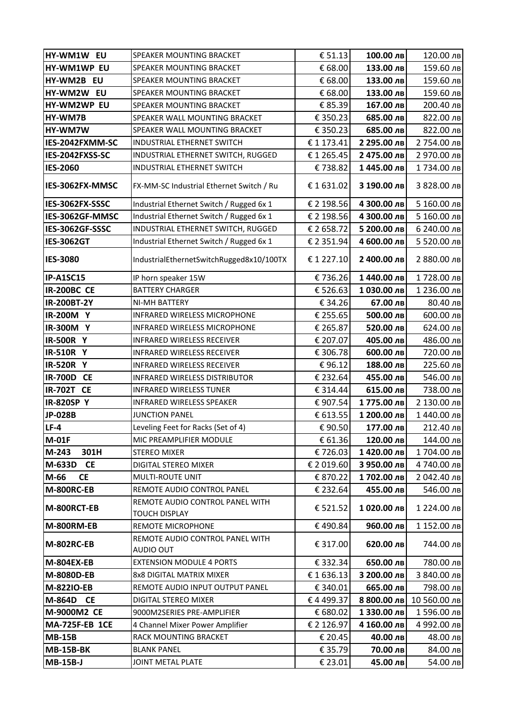| HY-WM1W EU            | SPEAKER MOUNTING BRACKET                                | € 51.13    | 100.00 лв   | 120.00 лв    |
|-----------------------|---------------------------------------------------------|------------|-------------|--------------|
| HY-WM1WP EU           | SPEAKER MOUNTING BRACKET                                | € 68.00    | 133.00 лв   | 159.60 лв    |
| HY-WM2B EU            | SPEAKER MOUNTING BRACKET                                | € 68.00    | 133.00 лв   | 159.60 лв    |
| HY-WM2W EU            | SPEAKER MOUNTING BRACKET                                | € 68.00    | 133.00 лв   | 159.60 лв    |
| HY-WM2WP EU           | SPEAKER MOUNTING BRACKET                                | € 85.39    | 167.00 лв   | 200.40 лв    |
| HY-WM7B               | SPEAKER WALL MOUNTING BRACKET                           | € 350.23   | 685.00 лв   | 822.00 лв    |
| HY-WM7W               | SPEAKER WALL MOUNTING BRACKET                           | € 350.23   | 685.00 лв   | 822.00 лв    |
| IES-2042FXMM-SC       | <b>INDUSTRIAL ETHERNET SWITCH</b>                       | €1173.41   | 2 295.00 лв | 2 754.00 лв  |
| IES-2042FXSS-SC       | INDUSTRIAL ETHERNET SWITCH, RUGGED                      | €1265.45   | 2 475.00 лв | 2 970.00 лв  |
| <b>IES-2060</b>       | INDUSTRIAL ETHERNET SWITCH                              | €738.82    | 1445.00 лв  | 1734.00 лв   |
| IES-3062FX-MMSC       | FX-MM-SC Industrial Ethernet Switch / Ru                | €1631.02   | 3 190.00 лв | 3 828.00 лв  |
| IES-3062FX-SSSC       | Industrial Ethernet Switch / Rugged 6x 1                | € 2 198.56 | 4 300.00 лв | 5 160.00 лв  |
| IES-3062GF-MMSC       | Industrial Ethernet Switch / Rugged 6x 1                | € 2 198.56 | 4 300.00 лв | 5 160.00 лв  |
| IES-3062GF-SSSC       | INDUSTRIAL ETHERNET SWITCH, RUGGED                      | € 2 658.72 | 5 200.00 лв | 6 240.00 лв  |
| <b>IES-3062GT</b>     | Industrial Ethernet Switch / Rugged 6x 1                | € 2 351.94 | 4 600.00 лв | 5 520.00 лв  |
| <b>IES-3080</b>       | IndustrialEthernetSwitchRugged8x10/100TX                | € 1 227.10 | 2 400.00 лв | 2 880.00 лв  |
| <b>IP-A1SC15</b>      | IP horn speaker 15W                                     | €736.26    | 1440.00 лв  | 1728.00 лв   |
| <b>IR-200BC CE</b>    | <b>BATTERY CHARGER</b>                                  | € 526.63   | 1 030.00 лв | 1 236.00 лв  |
| IR-200BT-2Y           | NI-MH BATTERY                                           | € 34.26    | 67.00 лв    | 80.40 лв     |
| <b>IR-200M Y</b>      | INFRARED WIRELESS MICROPHONE                            | € 255.65   | 500.00 лв   | 600.00 лв    |
| IR-300M Y             | INFRARED WIRELESS MICROPHONE                            | € 265.87   | 520.00 лв   | 624.00 лв    |
| <b>IR-500R Y</b>      | INFRARED WIRELESS RECEIVER                              | € 207.07   | 405.00 лв   | 486.00 лв    |
| <b>IR-510R Y</b>      | INFRARED WIRELESS RECEIVER                              | € 306.78   | 600.00 лв   | 720.00 лв    |
| <b>IR-520R Y</b>      | INFRARED WIRELESS RECEIVER                              | €96.12     | 188.00 лв   | 225.60 лв    |
| <b>IR-700D CE</b>     | INFRARED WIRELESS DISTRIBUTOR                           | € 232.64   | 455.00 лв   | 546.00 лв    |
| <b>IR-702T CE</b>     | <b>INFRARED WIRELESS TUNER</b>                          | € 314.44   | 615.00 лв   | 738.00 лв    |
| <b>IR-820SP Y</b>     | <b>INFRARED WIRELESS SPEAKER</b>                        | € 907.54   | 1775.00 лв  | 2 130.00 лв  |
| JP-028B               | <b>JUNCTION PANEL</b>                                   | € 613.55   | 1 200.00 лв | 1 440.00 лв  |
| $LF-4$                | Leveling Feet for Racks (Set of 4)                      | € 90.50    | 177.00 лв   | 212.40 лв    |
| <b>M-01F</b>          | MIC PREAMPLIFIER MODULE                                 | € 61.36    | 120.00 лв   | 144.00 лв    |
| $M-243$<br>301H       | <b>STEREO MIXER</b>                                     | €726.03    | 1420.00 лв  | 1704.00 лв   |
| <b>CE</b><br>M-633D   | DIGITAL STEREO MIXER                                    | € 2 019.60 | 3 950.00 лв | 4740.00 лв   |
| M-66<br><b>CE</b>     | <b>MULTI-ROUTE UNIT</b>                                 | € 870.22   | 1702.00 лв  | 2 042.40 лв  |
| M-800RC-EB            | REMOTE AUDIO CONTROL PANEL                              | € 232.64   | 455.00 лв   | 546.00 лв    |
| M-800RCT-EB           | REMOTE AUDIO CONTROL PANEL WITH<br><b>TOUCH DISPLAY</b> | € 521.52   | 1020.00 лв  | 1 224.00 лв  |
| M-800RM-EB            | <b>REMOTE MICROPHONE</b>                                | €490.84    | 960.00 лв   | 1 152.00 лв  |
| <b>M-802RC-EB</b>     | REMOTE AUDIO CONTROL PANEL WITH<br>AUDIO OUT            | € 317.00   | 620.00 лв   | 744.00 лв    |
| <b>M-804EX-EB</b>     | <b>EXTENSION MODULE 4 PORTS</b>                         | € 332.34   | 650.00 лв   | 780.00 лв    |
| <b>M-8080D-EB</b>     | 8x8 DIGITAL MATRIX MIXER                                | €1636.13   | 3 200.00 лв | 3 840.00 лв  |
| M-822IO-EB            | REMOTE AUDIO INPUT OUTPUT PANEL                         | € 340.01   | 665.00 лв   | 798.00 лв    |
| M-864D<br><b>CE</b>   | DIGITAL STEREO MIXER                                    | €4499.37   | 8 800.00 лв | 10 560.00 лв |
| M-9000M2 CE           | 9000M2SERIES PRE-AMPLIFIER                              | € 680.02   | 1 330.00 лв | 1596.00 лв   |
| <b>MA-725F-EB 1CE</b> | 4 Channel Mixer Power Amplifier                         | € 2 126.97 | 4 160.00 лв | 4 992.00 лв  |
| <b>MB-15B</b>         | RACK MOUNTING BRACKET                                   | € 20.45    | 40.00 лв    | 48.00 лв     |
| <b>MB-15B-BK</b>      | <b>BLANK PANEL</b>                                      | € 35.79    | 70.00 лв    | 84.00 лв     |
| <b>MB-15B-J</b>       | JOINT METAL PLATE                                       | € 23.01    | 45.00 лв    | 54.00 лв     |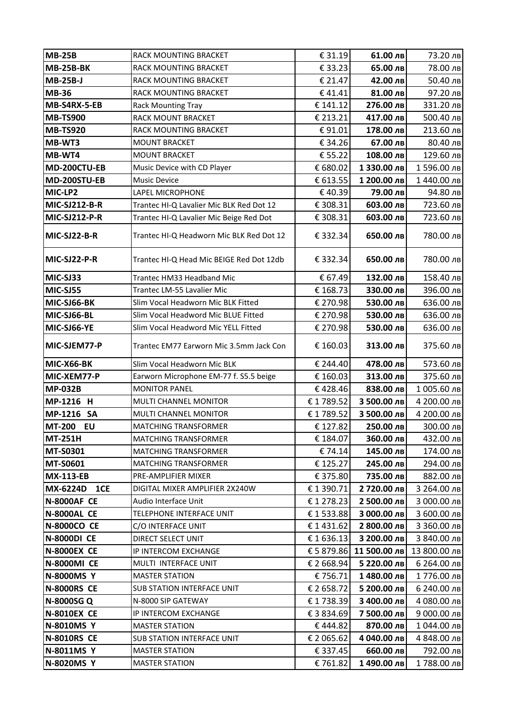| <b>MB-25B</b>        | RACK MOUNTING BRACKET                    | € 31.19    | 61.00 лв     | 73.20 лв     |
|----------------------|------------------------------------------|------------|--------------|--------------|
| <b>MB-25B-BK</b>     | RACK MOUNTING BRACKET                    | €33.23     | 65.00 лв     | 78.00 лв     |
| <b>MB-25B-J</b>      | RACK MOUNTING BRACKET                    | € 21.47    | 42.00 лв     | 50.40 лв     |
| <b>MB-36</b>         | RACK MOUNTING BRACKET                    | €41.41     | 81.00 лв     | 97.20 лв     |
| MB-S4RX-5-EB         | <b>Rack Mounting Tray</b>                | € 141.12   | 276.00 лв    | 331.20 лв    |
| <b>MB-TS900</b>      | RACK MOUNT BRACKET                       | € 213.21   | 417.00 лв    | 500.40 лв    |
| <b>MB-TS920</b>      | RACK MOUNTING BRACKET                    | €91.01     | 178.00 лв    | 213.60 лв    |
| MB-WT3               | <b>MOUNT BRACKET</b>                     | € 34.26    | 67.00 лв     | 80.40 лв     |
| MB-WT4               | <b>MOUNT BRACKET</b>                     | € 55.22    | 108.00 лв    | 129.60 лв    |
| MD-200CTU-EB         | Music Device with CD Player              | € 680.02   | 1 330.00 лв  | 1596.00 лв   |
| MD-200STU-EB         | Music Device                             | € 613.55   | 1 200.00 лв  | 1 440.00 лв  |
| MIC-LP2              | LAPEL MICROPHONE                         | €40.39     | 79.00 лв     | 94.80 лв     |
| <b>MIC-SJ212-B-R</b> | Trantec HI-Q Lavalier Mic BLK Red Dot 12 | € 308.31   | 603.00 лв    | 723.60 лв    |
| <b>MIC-SJ212-P-R</b> | Trantec HI-Q Lavalier Mic Beige Red Dot  | € 308.31   | 603.00 лв    | 723.60 лв    |
| MIC-SJ22-B-R         | Trantec HI-Q Headworn Mic BLK Red Dot 12 | € 332.34   | 650.00 лв    | 780.00 лв    |
| MIC-SJ22-P-R         | Trantec HI-Q Head Mic BEIGE Red Dot 12db | € 332.34   | 650.00 лв    | 780.00 лв    |
| MIC-SJ33             | Trantec HM33 Headband Mic                | € 67.49    | 132.00 лв    | 158.40 лв    |
| MIC-SJ55             | Trantec LM-55 Lavalier Mic               | € 168.73   | 330.00 лв    | 396.00 лв    |
| MIC-SJ66-BK          | Slim Vocal Headworn Mic BLK Fitted       | € 270.98   | 530.00 лв    | 636.00 лв    |
| MIC-SJ66-BL          | Slim Vocal Headword Mic BLUE Fitted      | € 270.98   | 530.00 лв    | 636.00 лв    |
| MIC-SJ66-YE          | Slim Vocal Headword Mic YELL Fitted      | € 270.98   | 530.00 лв    | 636.00 лв    |
| MIC-SJEM77-P         | Trantec EM77 Earworn Mic 3.5mm Jack Con  | € 160.03   | 313.00 лв    | 375.60 лв    |
| <b>MIC-X66-BK</b>    | Slim Vocal Headworn Mic BLK              | € 244.40   | 478.00 лв    | 573.60 лв    |
| MIC-XEM77-P          | Earworn Microphone EM-77 f. S5.5 beige   | € 160.03   | 313.00 лв    | 375.60 лв    |
| <b>MP-032B</b>       | <b>MONITOR PANEL</b>                     | €428.46    | 838.00 лв    | 1 005.60 лв  |
| MP-1216 H            | MULTI CHANNEL MONITOR                    | €1789.52   | 3 500.00 лв  | 4 200.00 лв  |
| MP-1216 SA           | MULTI CHANNEL MONITOR                    | €1789.52   | 3 500.00 лв  | 4 200.00 лв  |
| <b>MT-200</b><br>EU  | <b>MATCHING TRANSFORMER</b>              | € 127.82   | 250.00 лв    | 300.00 лв    |
| <b>MT-251H</b>       | <b>MATCHING TRANSFORMER</b>              | € 184.07   | 360.00 лв    | 432.00 лв    |
| MT-S0301             | <b>MATCHING TRANSFORMER</b>              | € 74.14    | 145.00 лв    | 174.00 лв    |
| <b>MT-S0601</b>      | <b>MATCHING TRANSFORMER</b>              | € 125.27   | 245.00 лв    | 294.00 лв    |
| <b>MX-113-EB</b>     | PRE-AMPLIFIER MIXER                      | € 375.80   | 735.00 лв    | 882.00 лв    |
| MX-6224D<br>1CE      | DIGITAL MIXER AMPLIFIER 2X240W           | €1390.71   | 2 720.00 лв  | 3 264.00 лв  |
| <b>N-8000AF CE</b>   | Audio Interface Unit                     | €1278.23   | 2 500.00 лв  | 3 000.00 лв  |
| <b>N-8000AL CE</b>   | TELEPHONE INTERFACE UNIT                 | € 1 533.88 | З 000.00 лв  | 3 600.00 лв  |
| <b>N-8000CO CE</b>   | C/O INTERFACE UNIT                       | € 1431.62  | 2 800.00 лв  | 3 360.00 лв  |
| <b>N-8000DI CE</b>   | <b>DIRECT SELECT UNIT</b>                | €1636.13   | 3 200.00 лв  | 3 840.00 лв  |
| <b>N-8000EX CE</b>   | IP INTERCOM EXCHANGE                     | € 5 879.86 | 11 500.00 лв | 13 800.00 лв |
| <b>N-8000MI CE</b>   | MULTI INTERFACE UNIT                     | € 2 668.94 | 5 220.00 лв  | 6 264.00 лв  |
| <b>N-8000MS Y</b>    | <b>MASTER STATION</b>                    | €756.71    | 1480.00 лв   | 1776.00 лв   |
| <b>N-8000RS CE</b>   | <b>SUB STATION INTERFACE UNIT</b>        | € 2 658.72 | 5 200.00 лв  | 6 240.00 лв  |
| N-8000SG Q           | N-8000 SIP GATEWAY                       | €1738.39   | 3 400.00 лв  | 4 080.00 лв  |
| <b>N-8010EX CE</b>   | IP INTERCOM EXCHANGE                     | € 3 834.69 | 7 500.00 лв  | 9 000.00 лв  |
| <b>N-8010MS Y</b>    | <b>MASTER STATION</b>                    | €444.82    | 870.00 лв    | 1 044.00 лв  |
| <b>N-8010RS CE</b>   | <b>SUB STATION INTERFACE UNIT</b>        | € 2 065.62 | 4 040.00 лв  | 4 848.00 лв  |
| N-8011MS Y           | <b>MASTER STATION</b>                    | € 337.45   | 660.00 лв    | 792.00 лв    |
| N-8020MS Y           | <b>MASTER STATION</b>                    | € 761.82   | 1490.00 лв   | 1788.00 лв   |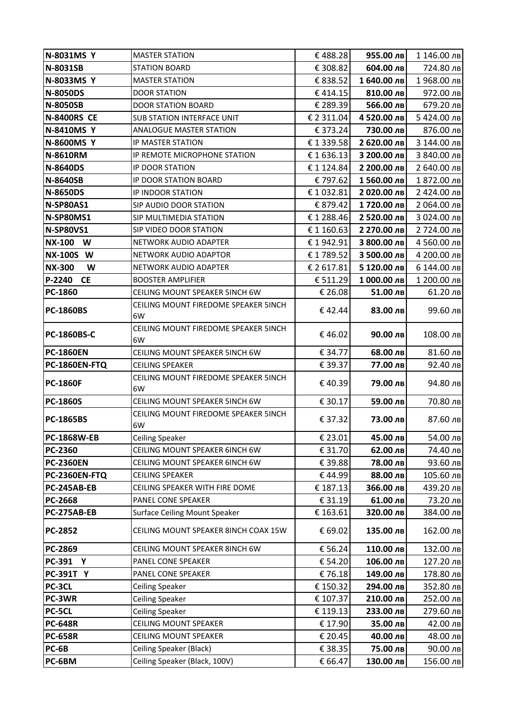| N-8031MS Y          | <b>MASTER STATION</b>                                    | €488.28            | 955.00 лв             | 1 146.00 лв            |
|---------------------|----------------------------------------------------------|--------------------|-----------------------|------------------------|
| N-8031SB            | <b>STATION BOARD</b>                                     | € 308.82           | 604.00 лв             | 724.80 лв              |
| N-8033MS Y          | <b>MASTER STATION</b>                                    | € 838.52           | 1 640.00 лв           | 1968.00 лв             |
| <b>N-8050DS</b>     | <b>DOOR STATION</b>                                      | €414.15            | 810.00 лв             | 972.00 лв              |
| <b>N-8050SB</b>     | <b>DOOR STATION BOARD</b>                                | € 289.39           | 566.00 лв             | 679.20 лв              |
| <b>N-8400RS CE</b>  | <b>SUB STATION INTERFACE UNIT</b>                        | € 2 311.04         | 4 520.00 лв           | 5 424.00 лв            |
| <b>N-8410MS Y</b>   | ANALOGUE MASTER STATION                                  | € 373.24           | 730.00 лв             | 876.00 лв              |
| <b>N-8600MS Y</b>   | IP MASTER STATION                                        | €1339.58           | 2 620.00 лв           | 3 144.00 лв            |
| <b>N-8610RM</b>     | IP REMOTE MICROPHONE STATION                             | €1636.13           | 3 200.00 лв           | 3 840.00 лв            |
| <b>N-8640DS</b>     | IP DOOR STATION                                          | €1124.84           | 2 200.00 лв           | 2 640.00 лв            |
| <b>N-8640SB</b>     | IP DOOR STATION BOARD                                    | € 797.62           | 1560.00 лв            | 1 872.00 лв            |
| <b>N-8650DS</b>     | IP INDOOR STATION                                        | €1032.81           | 2 020.00 лв           | 2 424.00 лв            |
| N-SP80AS1           | SIP AUDIO DOOR STATION                                   | € 879.42           | 1720.00 лв            | 2 064.00 лв            |
| N-SP80MS1           | SIP MULTIMEDIA STATION                                   | €1288.46           | 2 520.00 лв           | 3 024.00 лв            |
| <b>N-SP80VS1</b>    | SIP VIDEO DOOR STATION                                   | €1160.63           | 2 270.00 лв           | 2 724.00 лв            |
| <b>NX-100</b><br>W  | NETWORK AUDIO ADAPTER                                    | €1942.91           | 3 800.00 лв           | 4 560.00 лв            |
| <b>NX-100S W</b>    | NETWORK AUDIO ADAPTOR                                    | €1789.52           | 3 500.00 лв           | 4 200.00 лв            |
| <b>NX-300</b><br>W  | NETWORK AUDIO ADAPTER                                    | € 2 617.81         | 5 120.00 лв           | 6 144.00 лв            |
| P-2240<br><b>CE</b> | <b>BOOSTER AMPLIFIER</b>                                 | € 511.29           | 1 000.00 лв           | 1 200.00 лв            |
| PC-1860             | CEILING MOUNT SPEAKER 5INCH 6W                           | € 26.08            | 51.00 лв              | 61.20 лв               |
| <b>PC-1860BS</b>    | CEILING MOUNT FIREDOME SPEAKER 5INCH<br>6W               | €42.44             | 83.00 лв              | 99.60 лв               |
| <b>PC-1860BS-C</b>  | CEILING MOUNT FIREDOME SPEAKER 5INCH<br>6W               | €46.02             | 90.00 лв              | 108.00 лв              |
| <b>PC-1860EN</b>    | CEILING MOUNT SPEAKER 5INCH 6W                           | € 34.77            | 68.00 лв              | 81.60 лв               |
|                     |                                                          |                    |                       |                        |
| PC-1860EN-FTQ       | <b>CEILING SPEAKER</b>                                   | € 39.37            | 77.00 лв              | 92.40 лв               |
| <b>PC-1860F</b>     | CEILING MOUNT FIREDOME SPEAKER 5INCH<br>6W               | €40.39             | 79.00 лв              | 94.80 лв               |
| <b>PC-1860S</b>     | CEILING MOUNT SPEAKER 5INCH 6W                           | € 30.17            | 59.00 лв              | 70.80 лв               |
| <b>PC-1865BS</b>    | CEILING MOUNT FIREDOME SPEAKER 5INCH<br>6W               | € 37.32            | 73.00 лв              | 87.60 лв               |
| <b>PC-1868W-EB</b>  | <b>Ceiling Speaker</b>                                   | € 23.01            | 45.00 лв              | 54.00 лв               |
| PC-2360             | CEILING MOUNT SPEAKER 6INCH 6W                           | € 31.70            | 62.00 лв              |                        |
| <b>PC-2360EN</b>    | CEILING MOUNT SPEAKER 6INCH 6W                           | € 39.88            | 78.00 лв              | 93.60 лв               |
| PC-2360EN-FTQ       | CEILING SPEAKER                                          | €44.99             | 88.00 лв              | 105.60 лв              |
| PC-245AB-EB         | CEILING SPEAKER WITH FIRE DOME                           | €187.13            | 366.00 лв             | 439.20 лв              |
| PC-2668             | PANEL CONE SPEAKER                                       | € 31.19            | 61.00 лв              | 73.20 лв               |
| PC-275AB-EB         | Surface Ceiling Mount Speaker                            | € 163.61           | 320.00 лв             | 384.00 лв              |
| <b>PC-2852</b>      | CEILING MOUNT SPEAKER 8INCH COAX 15W                     | € 69.02            | 135.00 лв             | 162.00 лв              |
| PC-2869             | CEILING MOUNT SPEAKER 8INCH 6W                           | € 56.24            | 110.00 лв             | 132.00 лв              |
| PC-391 Y            | PANEL CONE SPEAKER                                       | € 54.20            | 106.00 лв             | 127.20 лв              |
| <b>PC-391T Y</b>    | PANEL CONE SPEAKER                                       | €76.18             | 149.00 лв             | 178.80 лв              |
| PC-3CL              | <b>Ceiling Speaker</b>                                   | € 150.32           | 294.00 лв             |                        |
| PC-3WR              | <b>Ceiling Speaker</b>                                   | € 107.37           | 210.00 лв             | 352.80 лв<br>252.00 лв |
| PC-5CL              | <b>Ceiling Speaker</b>                                   | € 119.13           | 233.00 лв             | 279.60 лв              |
| <b>PC-648R</b>      | CEILING MOUNT SPEAKER                                    | € 17.90            | 35.00 лв              | 74.40 лв<br>42.00 лв   |
| <b>PC-658R</b>      | CEILING MOUNT SPEAKER                                    | € 20.45            | 40.00 лв              | 48.00 лв               |
| PC-6B<br>PC-6BM     | Ceiling Speaker (Black)<br>Ceiling Speaker (Black, 100V) | € 38.35<br>€ 66.47 | 75.00 лв<br>130.00 лв | 90.00 лв<br>156.00 лв  |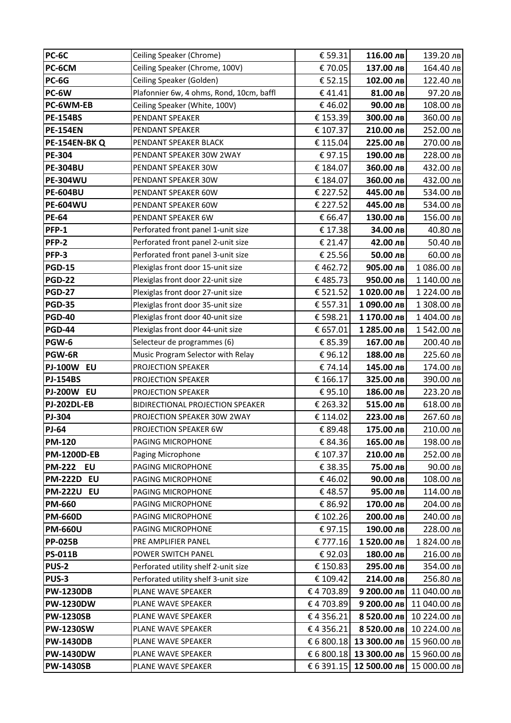| <b>PC-6C</b>                         | Ceiling Speaker (Chrome)                 | € 59.31              | 116.00 лв                  | 139.20 лв                    |
|--------------------------------------|------------------------------------------|----------------------|----------------------------|------------------------------|
| PC-6CM                               | Ceiling Speaker (Chrome, 100V)           | €70.05               | 137.00 лв                  | 164.40 лв                    |
| PC-6G                                | Ceiling Speaker (Golden)                 | € 52.15              | 102.00 лв                  | 122.40 лв                    |
| PC-6W                                | Plafonnier 6w, 4 ohms, Rond, 10cm, baffl | €41.41               | 81.00 лв                   | 97.20 лв                     |
| PC-6WM-EB                            | Ceiling Speaker (White, 100V)            | €46.02               | 90.00 лв                   | 108.00 лв                    |
| <b>PE-154BS</b>                      | PENDANT SPEAKER                          | € 153.39             | 300.00 лв                  | 360.00 лв                    |
| <b>PE-154EN</b>                      | PENDANT SPEAKER                          | € 107.37             | 210.00 лв                  | 252.00 лв                    |
| PE-154EN-BKQ                         | PENDANT SPEAKER BLACK                    | € 115.04             | 225.00 лв                  | 270.00 лв                    |
| PE-304                               | PENDANT SPEAKER 30W 2WAY                 | €97.15               | 190.00 лв                  | 228.00 лв                    |
| <b>PE-304BU</b>                      | PENDANT SPEAKER 30W                      | € 184.07             | 360.00 лв                  | 432.00 лв                    |
| <b>PE-304WU</b>                      | PENDANT SPEAKER 30W                      | € 184.07             | 360.00 лв                  | 432.00 лв                    |
| <b>PE-604BU</b>                      | PENDANT SPEAKER 60W                      | € 227.52             | 445.00 лв                  | 534.00 лв                    |
| <b>PE-604WU</b>                      | PENDANT SPEAKER 60W                      | € 227.52             | 445.00 лв                  | 534.00 лв                    |
| <b>PE-64</b>                         | PENDANT SPEAKER 6W                       | € 66.47              | 130.00 лв                  | 156.00 лв                    |
| PFP-1                                | Perforated front panel 1-unit size       | € 17.38              | 34.00 лв                   | 40.80 лв                     |
| PFP-2                                | Perforated front panel 2-unit size       | € 21.47              | 42.00 лв                   | 50.40 лв                     |
| PFP-3                                | Perforated front panel 3-unit size       | € 25.56              | 50.00 лв                   | 60.00 лв                     |
| <b>PGD-15</b>                        | Plexiglas front door 15-unit size        | €462.72              | 905.00 лв                  | 1 086.00 лв                  |
| <b>PGD-22</b>                        | Plexiglas front door 22-unit size        | €485.73              | 950.00 лв                  | 1 140.00 лв                  |
| <b>PGD-27</b>                        | Plexiglas front door 27-unit size        | € 521.52             | 1020.00 лв                 | 1 224.00 лв                  |
| <b>PGD-35</b>                        | Plexiglas front door 35-unit size        | € 557.31             | 1 090.00 лв                | 1 308.00 лв                  |
| <b>PGD-40</b>                        | Plexiglas front door 40-unit size        | € 598.21             | 1 170.00 лв                | 1 404.00 лв                  |
| <b>PGD-44</b>                        | Plexiglas front door 44-unit size        | € 657.01             | 1 285.00 лв                | 1542.00 лв                   |
| PGW-6                                | Selecteur de programmes (6)              | € 85.39              | 167.00 лв                  | 200.40 лв                    |
| PGW-6R                               | Music Program Selector with Relay        | €96.12               | 188.00 лв                  | 225.60 лв                    |
| <b>PJ-100W EU</b>                    | PROJECTION SPEAKER                       | €74.14               | 145.00 лв                  | 174.00 лв                    |
| <b>PJ-154BS</b>                      | PROJECTION SPEAKER                       | € 166.17             | 325.00 лв                  | 390.00 лв                    |
| <b>PJ-200W EU</b>                    | PROJECTION SPEAKER                       | €95.10               | 186.00 лв                  | 223.20 лв                    |
| <b>PJ-202DL-EB</b>                   | <b>BIDIRECTIONAL PROJECTION SPEAKER</b>  | € 263.32             | 515.00 лв                  | 618.00 лв                    |
| PJ-304                               | PROJECTION SPEAKER 30W 2WAY              | € 114.02             | 223.00 лв                  | 267.60 лв                    |
| <b>PJ-64</b>                         | PROJECTION SPEAKER 6W                    | € 89.48              | 175.00 лв                  | 210.00 лв                    |
| <b>PM-120</b>                        | PAGING MICROPHONE                        | € 84.36              | 165.00 лв                  | 198.00 лв                    |
| <b>PM-1200D-EB</b>                   | Paging Microphone                        | € 107.37             | 210.00 лв                  | 252.00 лв                    |
| <b>PM-222</b><br>EU                  | PAGING MICROPHONE                        | € 38.35              | 75.00 лв                   | 90.00 лв                     |
| <b>PM-222D EU</b>                    | PAGING MICROPHONE                        | €46.02               | 90.00 лв                   | 108.00 лв                    |
| <b>PM-222U EU</b>                    | PAGING MICROPHONE                        | €48.57               | 95.00 лв                   | 114.00 лв                    |
| <b>PM-660</b>                        | PAGING MICROPHONE                        | € 86.92              | 170.00 лв                  | 204.00 лв                    |
| <b>PM-660D</b>                       | PAGING MICROPHONE                        | € 102.26             | 200.00 лв                  | 240.00 лв                    |
| <b>PM-660U</b>                       | PAGING MICROPHONE                        | €97.15               | 190.00 лв                  | 228.00 лв                    |
| <b>PP-025B</b>                       | PRE AMPLIFIER PANEL                      | € 777.16             | 1520.00 лв                 | 1 824.00 лв                  |
| <b>PS-011B</b>                       | POWER SWITCH PANEL                       | €92.03               | 180.00 лв                  | 216.00 лв                    |
| <b>PUS-2</b>                         | Perforated utility shelf 2-unit size     | € 150.83             | 295.00 лв                  | 354.00 лв                    |
| PUS-3                                | Perforated utility shelf 3-unit size     | € 109.42             | 214.00 лв                  | 256.80 лв                    |
| <b>PW-1230DB</b>                     | PLANE WAVE SPEAKER                       | €4703.89             | 9 200.00 лв                | 11 040.00 лв                 |
| <b>PW-1230DW</b>                     | PLANE WAVE SPEAKER                       | €4703.89             | 9 200.00 лв                | 11 040.00 лв                 |
| <b>PW-1230SB</b><br><b>PW-1230SW</b> | PLANE WAVE SPEAKER                       | €4356.21<br>€4356.21 | 8 520.00 лв<br>8 520.00 лв | 10 224.00 лв<br>10 224.00 лв |
| <b>PW-1430DB</b>                     | PLANE WAVE SPEAKER<br>PLANE WAVE SPEAKER |                      | € 6 800.18 13 300.00 лв    | 15 960.00 лв                 |
| <b>PW-1430DW</b>                     | PLANE WAVE SPEAKER                       |                      | € 6 800.18 13 300.00 лв    | 15 960.00 лв                 |
|                                      |                                          |                      |                            |                              |
| <b>PW-1430SB</b>                     | PLANE WAVE SPEAKER                       |                      | € 6 391.15 12 500.00 лв    | 15 000.00 лв                 |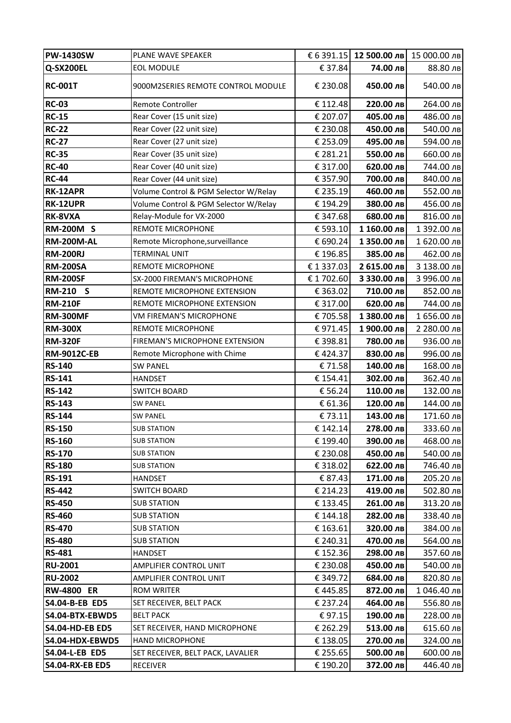| <b>PW-1430SW</b>               | PLANE WAVE SPEAKER                       |                      |                        | € 6 391.15 12 500.00 лв 15 000.00 лв |
|--------------------------------|------------------------------------------|----------------------|------------------------|--------------------------------------|
| Q-SX200EL                      | <b>EOL MODULE</b>                        | € 37.84              | 74.00 лв               | 88.80 лв                             |
| <b>RC-001T</b>                 | 9000M2SERIES REMOTE CONTROL MODULE       | € 230.08             | 450.00 лв              | 540.00 лв                            |
| <b>RC-03</b>                   | Remote Controller                        | € 112.48             | 220.00 лв              | 264.00 лв                            |
| <b>RC-15</b>                   | Rear Cover (15 unit size)                | € 207.07             | 405.00 лв              | 486.00 лв                            |
| <b>RC-22</b>                   | Rear Cover (22 unit size)                | € 230.08             | 450.00 лв              | 540.00 лв                            |
| <b>RC-27</b>                   | Rear Cover (27 unit size)                | € 253.09             | 495.00 лв              | 594.00 лв                            |
| <b>RC-35</b>                   | Rear Cover (35 unit size)                | € 281.21             | 550.00 лв              | 660.00 лв                            |
| <b>RC-40</b>                   | Rear Cover (40 unit size)                | € 317.00             | 620.00 лв              | 744.00 лв                            |
| <b>RC-44</b>                   | Rear Cover (44 unit size)                | € 357.90             | 700.00 лв              | 840.00 лв                            |
| RK-12APR                       | Volume Control & PGM Selector W/Relay    | € 235.19             | 460.00 лв              | 552.00 лв                            |
| RK-12UPR                       | Volume Control & PGM Selector W/Relay    | € 194.29             | 380.00 лв              | 456.00 лв                            |
| RK-8VXA                        | Relay-Module for VX-2000                 | € 347.68             | 680.00 лв              | 816.00 лв                            |
| <b>RM-200M S</b>               | REMOTE MICROPHONE                        | € 593.10             | 1 160.00 лв            | 1 392.00 лв                          |
| <b>RM-200M-AL</b>              | Remote Microphone, surveillance          | € 690.24             | 1 350.00 лв            | 1 620.00 лв                          |
| <b>RM-200RJ</b>                | <b>TERMINAL UNIT</b>                     | € 196.85             | 385.00 лв              | 462.00 лв                            |
| <b>RM-200SA</b>                | REMOTE MICROPHONE                        | €1337.03             | 2 615.00 лв            | 3 138.00 лв                          |
| <b>RM-200SF</b>                | SX-2000 FIREMAN'S MICROPHONE             | € 1 702.60           | 3 330.00 лв            | 3 996.00 лв                          |
| RM-210 S                       | REMOTE MICROPHONE EXTENSION              | € 363.02             | 710.00 лв              | 852.00 лв                            |
| <b>RM-210F</b>                 | REMOTE MICROPHONE EXTENSION              | € 317.00             | 620.00 лв              | 744.00 лв                            |
| <b>RM-300MF</b>                | VM FIREMAN'S MICROPHONE                  | €705.58              | 1 380.00 лв            | 1 656.00 лв                          |
| <b>RM-300X</b>                 | REMOTE MICROPHONE                        | €971.45              | 1900.00 лв             | 2 280.00 лв                          |
| <b>RM-320F</b>                 | FIREMAN'S MICROPHONE EXTENSION           | € 398.81             | 780.00 лв              | 936.00 лв                            |
| <b>RM-9012C-EB</b>             | Remote Microphone with Chime             | €424.37              | 830.00 лв              | 996.00 лв                            |
| <b>RS-140</b>                  | <b>SW PANEL</b>                          | €71.58               | 140.00 лв              | 168.00 лв                            |
| <b>RS-141</b>                  | <b>HANDSET</b>                           | € 154.41             | 302.00 лв              | 362.40 лв                            |
| <b>RS-142</b>                  | <b>SWITCH BOARD</b>                      | € 56.24              | 110.00 лв              | 132.00 лв                            |
| <b>RS-143</b>                  | <b>SW PANEL</b>                          | € 61.36              | 120.00 лв              | 144.00 лв                            |
| <b>RS-144</b>                  | <b>SW PANEL</b>                          | €73.11               | 143.00 лв              | 171.60 лв                            |
| <b>RS-150</b>                  | <b>SUB STATION</b>                       | € 142.14             | 278.00 лв              | 333.60 лв                            |
| <b>RS-160</b>                  | <b>SUB STATION</b>                       | € 199.40             | 390.00 лв              | 468.00 лв                            |
| <b>RS-170</b>                  | <b>SUB STATION</b>                       | € 230.08             | 450.00 лв              | 540.00 лв                            |
| <b>RS-180</b>                  | <b>SUB STATION</b>                       | € 318.02             | 622.00 лв              | 746.40 лв                            |
| <b>RS-191</b>                  | <b>HANDSET</b>                           | € 87.43              | 171.00 лв              | 205.20 лв                            |
| <b>RS-442</b>                  | <b>SWITCH BOARD</b>                      | € 214.23             | 419.00 лв              | 502.80 лв                            |
| <b>RS-450</b><br><b>RS-460</b> | <b>SUB STATION</b>                       | € 133.45             | 261.00 лв              | 313.20 лв                            |
| <b>RS-470</b>                  | <b>SUB STATION</b><br><b>SUB STATION</b> | € 144.18<br>€ 163.61 | 282.00 лв<br>320.00 лв | 338.40 лв<br>384.00 лв               |
| <b>RS-480</b>                  | <b>SUB STATION</b>                       | € 240.31             | 470.00 лв              | 564.00 лв                            |
| <b>RS-481</b>                  | <b>HANDSET</b>                           | € 152.36             | 298.00 лв              | 357.60 лв                            |
| <b>RU-2001</b>                 | AMPLIFIER CONTROL UNIT                   | € 230.08             | 450.00 лв              | 540.00 лв                            |
| <b>RU-2002</b>                 | AMPLIFIER CONTROL UNIT                   | € 349.72             | 684.00 лв              | 820.80 лв                            |
| <b>RW-4800 ER</b>              | ROM WRITER                               | €445.85              | 872.00 лв              | 1 046.40 лв                          |
| S4.04-B-EB ED5                 | SET RECEIVER, BELT PACK                  | € 237.24             | 464.00 лв              | 556.80 лв                            |
| S4.04-BTX-EBWD5                | <b>BELT PACK</b>                         | €97.15               | 190.00 лв              | 228.00 лв                            |
| <b>S4.04-HD-EB ED5</b>         | SET RECEIVER, HAND MICROPHONE            | € 262.29             | 513.00 лв              | 615.60 лв                            |
| S4.04-HDX-EBWD5                | <b>HAND MICROPHONE</b>                   | € 138.05             | 270.00 лв              | 324.00 лв                            |
| S4.04-L-EB ED5                 | SET RECEIVER, BELT PACK, LAVALIER        | € 255.65             | 500.00 лв              | 600.00 лв                            |
| <b>S4.04-RX-EB ED5</b>         | <b>RECEIVER</b>                          | € 190.20             | 372.00 лв              | 446.40 лв                            |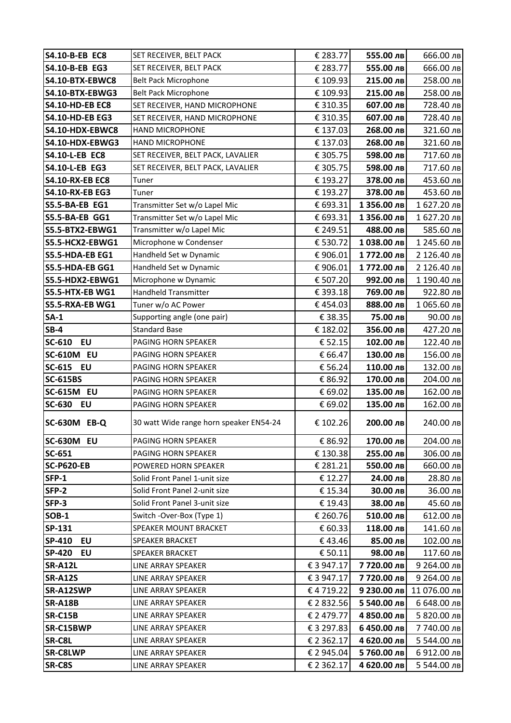| S4.10-B-EB EC8             | SET RECEIVER, BELT PACK                 | € 283.77                 | 555.00 лв   | 666.00 лв    |
|----------------------------|-----------------------------------------|--------------------------|-------------|--------------|
| S4.10-B-EB EG3             | SET RECEIVER, BELT PACK                 | € 283.77                 | 555.00 лв   | 666.00 лв    |
| S4.10-BTX-EBWC8            | <b>Belt Pack Microphone</b>             | € 109.93                 | 215.00 лв   | 258.00 лв    |
| <b>S4.10-BTX-EBWG3</b>     | <b>Belt Pack Microphone</b>             | € 109.93                 | 215.00 лв   | 258.00 лв    |
| <b>S4.10-HD-EB EC8</b>     | SET RECEIVER, HAND MICROPHONE           | € 310.35                 | 607.00 лв   | 728.40 лв    |
| <b>S4.10-HD-EB EG3</b>     | SET RECEIVER, HAND MICROPHONE           | € 310.35                 | 607.00 лв   | 728.40 лв    |
| S4.10-HDX-EBWC8            | HAND MICROPHONE                         | € 137.03                 | 268.00 лв   | 321.60 лв    |
| S4.10-HDX-EBWG3            | <b>HAND MICROPHONE</b>                  | € 137.03                 | 268.00 лв   | 321.60 лв    |
| <b>S4.10-L-EB EC8</b>      | SET RECEIVER, BELT PACK, LAVALIER       | € 305.75                 | 598.00 лв   | 717.60 лв    |
| S4.10-L-EB EG3             | SET RECEIVER, BELT PACK, LAVALIER       | € 305.75                 | 598.00 лв   | 717.60 лв    |
| <b>S4.10-RX-EB EC8</b>     | Tuner                                   | € 193.27                 | 378.00 лв   | 453.60 лв    |
| <b>S4.10-RX-EB EG3</b>     | Tuner                                   | € 193.27                 | 378.00 лв   | 453.60 лв    |
| <b>S5.5-BA-EB EG1</b>      | Transmitter Set w/o Lapel Mic           | € 693.31                 | 1 356.00 лв | 1 627.20 лв  |
| <b>S5.5-BA-EB GG1</b>      | Transmitter Set w/o Lapel Mic           | € 693.31                 | 1 356.00 лв | 1 627.20 лв  |
| S5.5-BTX2-EBWG1            | Transmitter w/o Lapel Mic               | € 249.51                 | 488.00 лв   | 585.60 лв    |
| S5.5-HCX2-EBWG1            | Microphone w Condenser                  | € 530.72                 | 1038.00 лв  | 1 245.60 лв  |
| S5.5-HDA-EB EG1            | Handheld Set w Dynamic                  | € 906.01                 | 1772.00 лв  | 2 126.40 лв  |
| S5.5-HDA-EB GG1            | Handheld Set w Dynamic                  | € 906.01                 | 1772.00 лв  | 2 126.40 лв  |
| S5.5-HDX2-EBWG1            | Microphone w Dynamic                    | € 507.20                 | 992.00 лв   | 1 190.40 лв  |
| S5.5-HTX-EB WG1            | Handheld Transmitter                    | € 393.18                 | 769.00 лв   | 922.80 лв    |
| S5.5-RXA-EB WG1            | Tuner w/o AC Power                      | €454.03                  | 888.00 лв   | 1 065.60 лв  |
| $SA-1$                     | Supporting angle (one pair)             | € 38.35                  | 75.00 лв    | 90.00 лв     |
| $SB-4$                     | <b>Standard Base</b>                    | € 182.02                 | 356.00 лв   | 427.20 лв    |
| SC-610<br><b>EU</b>        | PAGING HORN SPEAKER                     | € 52.15                  | 102.00 лв   | 122.40 лв    |
| <b>SC-610M EU</b>          | PAGING HORN SPEAKER                     | € 66.47                  | 130.00 лв   | 156.00 лв    |
|                            |                                         |                          |             |              |
| <b>SC-615</b><br><b>EU</b> | PAGING HORN SPEAKER                     | € 56.24                  | 110.00 лв   | 132.00 лв    |
| <b>SC-615BS</b>            | PAGING HORN SPEAKER                     | € 86.92                  | 170.00 лв   | 204.00 лв    |
| <b>SC-615M EU</b>          | PAGING HORN SPEAKER                     | € 69.02                  | 135.00 лв   | 162.00 лв    |
| <b>SC-630</b><br>EU        | PAGING HORN SPEAKER                     | € 69.02                  | 135.00 лв   | 162.00 лв    |
| <b>SC-630M EB-Q</b>        | 30 watt Wide range horn speaker EN54-24 | € 102.26                 | 200.00 лв   | 240.00 лв    |
| <b>SC-630M EU</b>          | PAGING HORN SPEAKER                     | € 86.92                  | 170.00 лв   | 204.00 лв    |
| <b>SC-651</b>              | PAGING HORN SPEAKER                     | € 130.38                 | 255.00 лв   | 306.00 лв    |
| <b>SC-P620-EB</b>          | POWERED HORN SPEAKER                    | € 281.21                 | 550.00 лв   | 660.00 лв    |
| SFP-1                      | Solid Front Panel 1-unit size           | € 12.27                  | 24.00 лв    | 28.80 лв     |
| SFP-2                      | Solid Front Panel 2-unit size           | € 15.34                  | 30.00 лв    | 36.00 лв     |
| SFP-3                      | Solid Front Panel 3-unit size           | €19.43                   | 38.00 лв    | 45.60 лв     |
| <b>SOB-1</b>               | Switch -Over-Box (Type 1)               | € 260.76                 | 510.00 лв   | 612.00 лв    |
| SP-131                     | SPEAKER MOUNT BRACKET                   | € 60.33                  | 118.00 лв   | 141.60 лв    |
| SP-410<br>EU               | SPEAKER BRACKET                         | €43.46                   | 85.00 лв    | 102.00 лв    |
| <b>SP-420</b><br>EU        | <b>SPEAKER BRACKET</b>                  | € 50.11                  | 98.00 лв    | 117.60 лв    |
| <b>SR-A12L</b>             | LINE ARRAY SPEAKER                      | € 3 947.17               | 7 720.00 лв | 9 264.00 лв  |
| <b>SR-A12S</b>             | LINE ARRAY SPEAKER                      | € 3 947.17               | 7 720.00 лв | 9 264.00 лв  |
| SR-A12SWP                  | LINE ARRAY SPEAKER                      | €4719.22                 | 9 230.00 лв | 11 076.00 лв |
| <b>SR-A18B</b>             | LINE ARRAY SPEAKER                      | € 2 832.56               | 5 540.00 лв | 6 648.00 лв  |
| <b>SR-C15B</b>             | LINE ARRAY SPEAKER                      | € 2 479.77               | 4 850.00 лв | 5 820.00 лв  |
| SR-C15BWP                  | LINE ARRAY SPEAKER                      | € 3 297.83               | 6 450.00 лв | 7 740.00 лв  |
| SR-C8L                     | LINE ARRAY SPEAKER                      | € 2 362.17               | 4 620.00 лв | 5 544.00 лв  |
| <b>SR-C8LWP</b><br>SR-C8S  | LINE ARRAY SPEAKER                      | € 2 945.04<br>€ 2 362.17 | 5760.00 лв  | 6 912.00 лв  |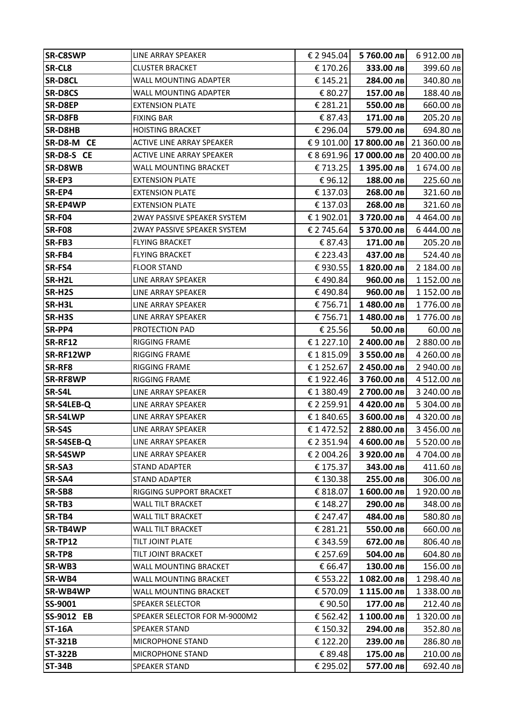| € 170.26<br>333.00 лв<br>399.60 лв<br><b>CLUSTER BRACKET</b><br><b>SR-D8CL</b><br>WALL MOUNTING ADAPTER<br>€ 145.21<br>284.00 лв<br>WALL MOUNTING ADAPTER<br>€ 80.27<br>157.00 лв<br>SR-D8EP<br>€ 281.21<br>550.00 лв<br><b>EXTENSION PLATE</b><br>€ 87.43<br>205.20 лв<br><b>FIXING BAR</b><br>171.00 лв<br>€ 296.04<br><b>HOISTING BRACKET</b><br>579.00 лв<br>694.80 лв<br>€ 9 101.00 17 800.00 лв<br>21 360.00 лв<br><b>ACTIVE LINE ARRAY SPEAKER</b><br>€ 8 691.96 17 000.00 лв<br>20 400.00 лв<br><b>ACTIVE LINE ARRAY SPEAKER</b><br>SR-D8WB<br>€ 713.25<br>1 395.00 лв<br>WALL MOUNTING BRACKET<br><b>EXTENSION PLATE</b><br>€96.12<br>188.00 лв<br>225.60 лв<br>€ 137.03<br>268.00 лв<br><b>EXTENSION PLATE</b><br><b>EXTENSION PLATE</b><br>€ 137.03<br>268.00 лв<br>321.60 лв<br>2WAY PASSIVE SPEAKER SYSTEM<br>€ 1 902.01<br>3 720.00 лв<br>4 464.00 лв<br>2WAY PASSIVE SPEAKER SYSTEM<br>€ 2 745.64<br>5 370.00 лв<br>6 444.00 лв<br>€ 87.43<br>171.00 лв<br><b>FLYING BRACKET</b><br><b>FLYING BRACKET</b><br>€ 223.43<br>437.00 лв<br>1 820.00 лв<br><b>FLOOR STAND</b><br>€930.55<br>€490.84<br>960.00 лв<br>LINE ARRAY SPEAKER<br>€490.84<br>960.00 лв<br>LINE ARRAY SPEAKER<br>€ 756.71<br>LINE ARRAY SPEAKER<br>1480.00 лв<br>1776.00 лв<br>SR-H3S<br>€ 756.71<br>1480.00 лв<br>1776.00 лв<br>LINE ARRAY SPEAKER<br>SR-PP4<br>€ 25.56<br>PROTECTION PAD<br>50.00 лв<br>$60.00$ лв<br><b>SR-RF12</b><br>€ 1 227.10<br>2 400.00 лв<br>2 880.00 лв<br><b>RIGGING FRAME</b><br>SR-RF12WP<br>€ 1815.09<br>3 550.00 лв<br>RIGGING FRAME<br>SR-RF8<br>€1252.67<br>2 450.00 лв<br>2 940.00 лв<br>RIGGING FRAME<br><b>SR-RF8WP</b><br>€1922.46<br>3760.00 лв<br>RIGGING FRAME<br>4 512.00 лв<br>SR-S4L<br>€1380.49<br>2700.00 лв<br>LINE ARRAY SPEAKER<br>3 240.00 лв<br>SR-S4LEB-Q<br>€ 2 259.91<br>4 420.00 лв<br>5 304.00 лв<br>LINE ARRAY SPEAKER<br><b>SR-S4LWP</b><br>LINE ARRAY SPEAKER<br>€1840.65<br>3 600.00 лв<br>4 320.00 лв<br>SR-S4S<br>€ 1472.52<br>2 880.00 лв<br>3 456.00 лв<br>LINE ARRAY SPEAKER<br>SR-S4SEB-Q<br>€ 2 351.94<br>4 600.00 лв<br>5 520.00 лв<br>LINE ARRAY SPEAKER<br><b>SR-S4SWP</b><br>€ 2 004.26<br>3 920.00 лв<br>4704.00 лв<br>LINE ARRAY SPEAKER<br>SR-SA3<br>€ 175.37<br>343.00 лв<br><b>STAND ADAPTER</b><br>411.60 лв<br>SR-SA4<br>€ 130.38<br>255.00 лв<br><b>STAND ADAPTER</b><br>306.00 лв<br>SR-SB8<br>€ 818.07<br>1 600.00 лв<br>RIGGING SUPPORT BRACKET<br>1920.00 лв<br>SR-TB3<br>€ 148.27<br>290.00 лв<br>WALL TILT BRACKET<br>348.00 лв<br>SR-TB4<br>€ 247.47<br>484.00 лв<br>WALL TILT BRACKET<br>580.80 лв<br><b>SR-TB4WP</b><br>WALL TILT BRACKET<br>€ 281.21<br>550.00 лв<br>660.00 лв<br>€ 343.59<br><b>SR-TP12</b><br>TILT JOINT PLATE<br>672.00 лв<br>806.40 лв<br>€ 257.69<br>SR-TP8<br>TILT JOINT BRACKET<br>504.00 лв<br>604.80 лв<br>WALL MOUNTING BRACKET<br>SR-WB3<br>€ 66.47<br>130.00 лв<br>156.00 лв<br>SR-WB4<br>WALL MOUNTING BRACKET<br>€ 553.22<br>1 082.00 лв<br>1 298.40 лв<br>SR-WB4WP<br>WALL MOUNTING BRACKET<br>€ 570.09<br>1 115.00 лв<br>1 338.00 лв<br>SS-9001<br>€90.50<br>177.00 лв<br><b>SPEAKER SELECTOR</b><br>212.40 лв<br><b>SS-9012 EB</b><br>€ 562.42<br>1 100.00 лв<br>1 320.00 лв<br>SPEAKER SELECTOR FOR M-9000M2<br><b>ST-16A</b><br>€ 150.32<br>294.00 лв<br>352.80 лв<br><b>SPEAKER STAND</b><br><b>ST-321B</b><br>€ 122.20<br>239.00 лв<br>MICROPHONE STAND<br>286.80 лв<br><b>ST-322B</b><br>MICROPHONE STAND<br>€ 89.48<br>175.00 лв<br>210.00 лв<br><b>ST-34B</b><br><b>SPEAKER STAND</b><br>€ 295.02<br>577.00 лв<br>692.40 лв | <b>SR-C8SWP</b> | LINE ARRAY SPEAKER | € 2 945.04 | 5760.00 лв | 6912.00 лв  |
|----------------------------------------------------------------------------------------------------------------------------------------------------------------------------------------------------------------------------------------------------------------------------------------------------------------------------------------------------------------------------------------------------------------------------------------------------------------------------------------------------------------------------------------------------------------------------------------------------------------------------------------------------------------------------------------------------------------------------------------------------------------------------------------------------------------------------------------------------------------------------------------------------------------------------------------------------------------------------------------------------------------------------------------------------------------------------------------------------------------------------------------------------------------------------------------------------------------------------------------------------------------------------------------------------------------------------------------------------------------------------------------------------------------------------------------------------------------------------------------------------------------------------------------------------------------------------------------------------------------------------------------------------------------------------------------------------------------------------------------------------------------------------------------------------------------------------------------------------------------------------------------------------------------------------------------------------------------------------------------------------------------------------------------------------------------------------------------------------------------------------------------------------------------------------------------------------------------------------------------------------------------------------------------------------------------------------------------------------------------------------------------------------------------------------------------------------------------------------------------------------------------------------------------------------------------------------------------------------------------------------------------------------------------------------------------------------------------------------------------------------------------------------------------------------------------------------------------------------------------------------------------------------------------------------------------------------------------------------------------------------------------------------------------------------------------------------------------------------------------------------------------------------------------------------------------------------------------------------------------------------------------------------------------------------------------------------------------------------------------------------------------------------------------------------------------------------------------------------------------------------------------------------------------------|-----------------|--------------------|------------|------------|-------------|
|                                                                                                                                                                                                                                                                                                                                                                                                                                                                                                                                                                                                                                                                                                                                                                                                                                                                                                                                                                                                                                                                                                                                                                                                                                                                                                                                                                                                                                                                                                                                                                                                                                                                                                                                                                                                                                                                                                                                                                                                                                                                                                                                                                                                                                                                                                                                                                                                                                                                                                                                                                                                                                                                                                                                                                                                                                                                                                                                                                                                                                                                                                                                                                                                                                                                                                                                                                                                                                                                                                                                              | SR-CL8          |                    |            |            |             |
|                                                                                                                                                                                                                                                                                                                                                                                                                                                                                                                                                                                                                                                                                                                                                                                                                                                                                                                                                                                                                                                                                                                                                                                                                                                                                                                                                                                                                                                                                                                                                                                                                                                                                                                                                                                                                                                                                                                                                                                                                                                                                                                                                                                                                                                                                                                                                                                                                                                                                                                                                                                                                                                                                                                                                                                                                                                                                                                                                                                                                                                                                                                                                                                                                                                                                                                                                                                                                                                                                                                                              |                 |                    |            |            | 340.80 лв   |
|                                                                                                                                                                                                                                                                                                                                                                                                                                                                                                                                                                                                                                                                                                                                                                                                                                                                                                                                                                                                                                                                                                                                                                                                                                                                                                                                                                                                                                                                                                                                                                                                                                                                                                                                                                                                                                                                                                                                                                                                                                                                                                                                                                                                                                                                                                                                                                                                                                                                                                                                                                                                                                                                                                                                                                                                                                                                                                                                                                                                                                                                                                                                                                                                                                                                                                                                                                                                                                                                                                                                              | <b>SR-D8CS</b>  |                    |            |            | 188.40 лв   |
|                                                                                                                                                                                                                                                                                                                                                                                                                                                                                                                                                                                                                                                                                                                                                                                                                                                                                                                                                                                                                                                                                                                                                                                                                                                                                                                                                                                                                                                                                                                                                                                                                                                                                                                                                                                                                                                                                                                                                                                                                                                                                                                                                                                                                                                                                                                                                                                                                                                                                                                                                                                                                                                                                                                                                                                                                                                                                                                                                                                                                                                                                                                                                                                                                                                                                                                                                                                                                                                                                                                                              |                 |                    |            |            | 660.00 лв   |
|                                                                                                                                                                                                                                                                                                                                                                                                                                                                                                                                                                                                                                                                                                                                                                                                                                                                                                                                                                                                                                                                                                                                                                                                                                                                                                                                                                                                                                                                                                                                                                                                                                                                                                                                                                                                                                                                                                                                                                                                                                                                                                                                                                                                                                                                                                                                                                                                                                                                                                                                                                                                                                                                                                                                                                                                                                                                                                                                                                                                                                                                                                                                                                                                                                                                                                                                                                                                                                                                                                                                              | <b>SR-D8FB</b>  |                    |            |            |             |
|                                                                                                                                                                                                                                                                                                                                                                                                                                                                                                                                                                                                                                                                                                                                                                                                                                                                                                                                                                                                                                                                                                                                                                                                                                                                                                                                                                                                                                                                                                                                                                                                                                                                                                                                                                                                                                                                                                                                                                                                                                                                                                                                                                                                                                                                                                                                                                                                                                                                                                                                                                                                                                                                                                                                                                                                                                                                                                                                                                                                                                                                                                                                                                                                                                                                                                                                                                                                                                                                                                                                              | SR-D8HB         |                    |            |            |             |
|                                                                                                                                                                                                                                                                                                                                                                                                                                                                                                                                                                                                                                                                                                                                                                                                                                                                                                                                                                                                                                                                                                                                                                                                                                                                                                                                                                                                                                                                                                                                                                                                                                                                                                                                                                                                                                                                                                                                                                                                                                                                                                                                                                                                                                                                                                                                                                                                                                                                                                                                                                                                                                                                                                                                                                                                                                                                                                                                                                                                                                                                                                                                                                                                                                                                                                                                                                                                                                                                                                                                              | SR-D8-M CE      |                    |            |            |             |
|                                                                                                                                                                                                                                                                                                                                                                                                                                                                                                                                                                                                                                                                                                                                                                                                                                                                                                                                                                                                                                                                                                                                                                                                                                                                                                                                                                                                                                                                                                                                                                                                                                                                                                                                                                                                                                                                                                                                                                                                                                                                                                                                                                                                                                                                                                                                                                                                                                                                                                                                                                                                                                                                                                                                                                                                                                                                                                                                                                                                                                                                                                                                                                                                                                                                                                                                                                                                                                                                                                                                              | SR-D8-S CE      |                    |            |            |             |
|                                                                                                                                                                                                                                                                                                                                                                                                                                                                                                                                                                                                                                                                                                                                                                                                                                                                                                                                                                                                                                                                                                                                                                                                                                                                                                                                                                                                                                                                                                                                                                                                                                                                                                                                                                                                                                                                                                                                                                                                                                                                                                                                                                                                                                                                                                                                                                                                                                                                                                                                                                                                                                                                                                                                                                                                                                                                                                                                                                                                                                                                                                                                                                                                                                                                                                                                                                                                                                                                                                                                              |                 |                    |            |            | 1 674.00 лв |
|                                                                                                                                                                                                                                                                                                                                                                                                                                                                                                                                                                                                                                                                                                                                                                                                                                                                                                                                                                                                                                                                                                                                                                                                                                                                                                                                                                                                                                                                                                                                                                                                                                                                                                                                                                                                                                                                                                                                                                                                                                                                                                                                                                                                                                                                                                                                                                                                                                                                                                                                                                                                                                                                                                                                                                                                                                                                                                                                                                                                                                                                                                                                                                                                                                                                                                                                                                                                                                                                                                                                              | SR-EP3          |                    |            |            |             |
|                                                                                                                                                                                                                                                                                                                                                                                                                                                                                                                                                                                                                                                                                                                                                                                                                                                                                                                                                                                                                                                                                                                                                                                                                                                                                                                                                                                                                                                                                                                                                                                                                                                                                                                                                                                                                                                                                                                                                                                                                                                                                                                                                                                                                                                                                                                                                                                                                                                                                                                                                                                                                                                                                                                                                                                                                                                                                                                                                                                                                                                                                                                                                                                                                                                                                                                                                                                                                                                                                                                                              | SR-EP4          |                    |            |            | 321.60 лв   |
|                                                                                                                                                                                                                                                                                                                                                                                                                                                                                                                                                                                                                                                                                                                                                                                                                                                                                                                                                                                                                                                                                                                                                                                                                                                                                                                                                                                                                                                                                                                                                                                                                                                                                                                                                                                                                                                                                                                                                                                                                                                                                                                                                                                                                                                                                                                                                                                                                                                                                                                                                                                                                                                                                                                                                                                                                                                                                                                                                                                                                                                                                                                                                                                                                                                                                                                                                                                                                                                                                                                                              | <b>SR-EP4WP</b> |                    |            |            |             |
|                                                                                                                                                                                                                                                                                                                                                                                                                                                                                                                                                                                                                                                                                                                                                                                                                                                                                                                                                                                                                                                                                                                                                                                                                                                                                                                                                                                                                                                                                                                                                                                                                                                                                                                                                                                                                                                                                                                                                                                                                                                                                                                                                                                                                                                                                                                                                                                                                                                                                                                                                                                                                                                                                                                                                                                                                                                                                                                                                                                                                                                                                                                                                                                                                                                                                                                                                                                                                                                                                                                                              | <b>SR-F04</b>   |                    |            |            |             |
|                                                                                                                                                                                                                                                                                                                                                                                                                                                                                                                                                                                                                                                                                                                                                                                                                                                                                                                                                                                                                                                                                                                                                                                                                                                                                                                                                                                                                                                                                                                                                                                                                                                                                                                                                                                                                                                                                                                                                                                                                                                                                                                                                                                                                                                                                                                                                                                                                                                                                                                                                                                                                                                                                                                                                                                                                                                                                                                                                                                                                                                                                                                                                                                                                                                                                                                                                                                                                                                                                                                                              | <b>SR-F08</b>   |                    |            |            |             |
|                                                                                                                                                                                                                                                                                                                                                                                                                                                                                                                                                                                                                                                                                                                                                                                                                                                                                                                                                                                                                                                                                                                                                                                                                                                                                                                                                                                                                                                                                                                                                                                                                                                                                                                                                                                                                                                                                                                                                                                                                                                                                                                                                                                                                                                                                                                                                                                                                                                                                                                                                                                                                                                                                                                                                                                                                                                                                                                                                                                                                                                                                                                                                                                                                                                                                                                                                                                                                                                                                                                                              | SR-FB3          |                    |            |            | 205.20 лв   |
|                                                                                                                                                                                                                                                                                                                                                                                                                                                                                                                                                                                                                                                                                                                                                                                                                                                                                                                                                                                                                                                                                                                                                                                                                                                                                                                                                                                                                                                                                                                                                                                                                                                                                                                                                                                                                                                                                                                                                                                                                                                                                                                                                                                                                                                                                                                                                                                                                                                                                                                                                                                                                                                                                                                                                                                                                                                                                                                                                                                                                                                                                                                                                                                                                                                                                                                                                                                                                                                                                                                                              | SR-FB4          |                    |            |            | 524.40 лв   |
|                                                                                                                                                                                                                                                                                                                                                                                                                                                                                                                                                                                                                                                                                                                                                                                                                                                                                                                                                                                                                                                                                                                                                                                                                                                                                                                                                                                                                                                                                                                                                                                                                                                                                                                                                                                                                                                                                                                                                                                                                                                                                                                                                                                                                                                                                                                                                                                                                                                                                                                                                                                                                                                                                                                                                                                                                                                                                                                                                                                                                                                                                                                                                                                                                                                                                                                                                                                                                                                                                                                                              | SR-FS4          |                    |            |            | 2 184.00 лв |
|                                                                                                                                                                                                                                                                                                                                                                                                                                                                                                                                                                                                                                                                                                                                                                                                                                                                                                                                                                                                                                                                                                                                                                                                                                                                                                                                                                                                                                                                                                                                                                                                                                                                                                                                                                                                                                                                                                                                                                                                                                                                                                                                                                                                                                                                                                                                                                                                                                                                                                                                                                                                                                                                                                                                                                                                                                                                                                                                                                                                                                                                                                                                                                                                                                                                                                                                                                                                                                                                                                                                              | SR-H2L          |                    |            |            | 1 152.00 лв |
|                                                                                                                                                                                                                                                                                                                                                                                                                                                                                                                                                                                                                                                                                                                                                                                                                                                                                                                                                                                                                                                                                                                                                                                                                                                                                                                                                                                                                                                                                                                                                                                                                                                                                                                                                                                                                                                                                                                                                                                                                                                                                                                                                                                                                                                                                                                                                                                                                                                                                                                                                                                                                                                                                                                                                                                                                                                                                                                                                                                                                                                                                                                                                                                                                                                                                                                                                                                                                                                                                                                                              | SR-H2S          |                    |            |            | 1 152.00 лв |
|                                                                                                                                                                                                                                                                                                                                                                                                                                                                                                                                                                                                                                                                                                                                                                                                                                                                                                                                                                                                                                                                                                                                                                                                                                                                                                                                                                                                                                                                                                                                                                                                                                                                                                                                                                                                                                                                                                                                                                                                                                                                                                                                                                                                                                                                                                                                                                                                                                                                                                                                                                                                                                                                                                                                                                                                                                                                                                                                                                                                                                                                                                                                                                                                                                                                                                                                                                                                                                                                                                                                              | SR-H3L          |                    |            |            |             |
|                                                                                                                                                                                                                                                                                                                                                                                                                                                                                                                                                                                                                                                                                                                                                                                                                                                                                                                                                                                                                                                                                                                                                                                                                                                                                                                                                                                                                                                                                                                                                                                                                                                                                                                                                                                                                                                                                                                                                                                                                                                                                                                                                                                                                                                                                                                                                                                                                                                                                                                                                                                                                                                                                                                                                                                                                                                                                                                                                                                                                                                                                                                                                                                                                                                                                                                                                                                                                                                                                                                                              |                 |                    |            |            |             |
|                                                                                                                                                                                                                                                                                                                                                                                                                                                                                                                                                                                                                                                                                                                                                                                                                                                                                                                                                                                                                                                                                                                                                                                                                                                                                                                                                                                                                                                                                                                                                                                                                                                                                                                                                                                                                                                                                                                                                                                                                                                                                                                                                                                                                                                                                                                                                                                                                                                                                                                                                                                                                                                                                                                                                                                                                                                                                                                                                                                                                                                                                                                                                                                                                                                                                                                                                                                                                                                                                                                                              |                 |                    |            |            |             |
|                                                                                                                                                                                                                                                                                                                                                                                                                                                                                                                                                                                                                                                                                                                                                                                                                                                                                                                                                                                                                                                                                                                                                                                                                                                                                                                                                                                                                                                                                                                                                                                                                                                                                                                                                                                                                                                                                                                                                                                                                                                                                                                                                                                                                                                                                                                                                                                                                                                                                                                                                                                                                                                                                                                                                                                                                                                                                                                                                                                                                                                                                                                                                                                                                                                                                                                                                                                                                                                                                                                                              |                 |                    |            |            |             |
|                                                                                                                                                                                                                                                                                                                                                                                                                                                                                                                                                                                                                                                                                                                                                                                                                                                                                                                                                                                                                                                                                                                                                                                                                                                                                                                                                                                                                                                                                                                                                                                                                                                                                                                                                                                                                                                                                                                                                                                                                                                                                                                                                                                                                                                                                                                                                                                                                                                                                                                                                                                                                                                                                                                                                                                                                                                                                                                                                                                                                                                                                                                                                                                                                                                                                                                                                                                                                                                                                                                                              |                 |                    |            |            | 4 260.00 лв |
|                                                                                                                                                                                                                                                                                                                                                                                                                                                                                                                                                                                                                                                                                                                                                                                                                                                                                                                                                                                                                                                                                                                                                                                                                                                                                                                                                                                                                                                                                                                                                                                                                                                                                                                                                                                                                                                                                                                                                                                                                                                                                                                                                                                                                                                                                                                                                                                                                                                                                                                                                                                                                                                                                                                                                                                                                                                                                                                                                                                                                                                                                                                                                                                                                                                                                                                                                                                                                                                                                                                                              |                 |                    |            |            |             |
|                                                                                                                                                                                                                                                                                                                                                                                                                                                                                                                                                                                                                                                                                                                                                                                                                                                                                                                                                                                                                                                                                                                                                                                                                                                                                                                                                                                                                                                                                                                                                                                                                                                                                                                                                                                                                                                                                                                                                                                                                                                                                                                                                                                                                                                                                                                                                                                                                                                                                                                                                                                                                                                                                                                                                                                                                                                                                                                                                                                                                                                                                                                                                                                                                                                                                                                                                                                                                                                                                                                                              |                 |                    |            |            |             |
|                                                                                                                                                                                                                                                                                                                                                                                                                                                                                                                                                                                                                                                                                                                                                                                                                                                                                                                                                                                                                                                                                                                                                                                                                                                                                                                                                                                                                                                                                                                                                                                                                                                                                                                                                                                                                                                                                                                                                                                                                                                                                                                                                                                                                                                                                                                                                                                                                                                                                                                                                                                                                                                                                                                                                                                                                                                                                                                                                                                                                                                                                                                                                                                                                                                                                                                                                                                                                                                                                                                                              |                 |                    |            |            |             |
|                                                                                                                                                                                                                                                                                                                                                                                                                                                                                                                                                                                                                                                                                                                                                                                                                                                                                                                                                                                                                                                                                                                                                                                                                                                                                                                                                                                                                                                                                                                                                                                                                                                                                                                                                                                                                                                                                                                                                                                                                                                                                                                                                                                                                                                                                                                                                                                                                                                                                                                                                                                                                                                                                                                                                                                                                                                                                                                                                                                                                                                                                                                                                                                                                                                                                                                                                                                                                                                                                                                                              |                 |                    |            |            |             |
|                                                                                                                                                                                                                                                                                                                                                                                                                                                                                                                                                                                                                                                                                                                                                                                                                                                                                                                                                                                                                                                                                                                                                                                                                                                                                                                                                                                                                                                                                                                                                                                                                                                                                                                                                                                                                                                                                                                                                                                                                                                                                                                                                                                                                                                                                                                                                                                                                                                                                                                                                                                                                                                                                                                                                                                                                                                                                                                                                                                                                                                                                                                                                                                                                                                                                                                                                                                                                                                                                                                                              |                 |                    |            |            |             |
|                                                                                                                                                                                                                                                                                                                                                                                                                                                                                                                                                                                                                                                                                                                                                                                                                                                                                                                                                                                                                                                                                                                                                                                                                                                                                                                                                                                                                                                                                                                                                                                                                                                                                                                                                                                                                                                                                                                                                                                                                                                                                                                                                                                                                                                                                                                                                                                                                                                                                                                                                                                                                                                                                                                                                                                                                                                                                                                                                                                                                                                                                                                                                                                                                                                                                                                                                                                                                                                                                                                                              |                 |                    |            |            |             |
|                                                                                                                                                                                                                                                                                                                                                                                                                                                                                                                                                                                                                                                                                                                                                                                                                                                                                                                                                                                                                                                                                                                                                                                                                                                                                                                                                                                                                                                                                                                                                                                                                                                                                                                                                                                                                                                                                                                                                                                                                                                                                                                                                                                                                                                                                                                                                                                                                                                                                                                                                                                                                                                                                                                                                                                                                                                                                                                                                                                                                                                                                                                                                                                                                                                                                                                                                                                                                                                                                                                                              |                 |                    |            |            |             |
|                                                                                                                                                                                                                                                                                                                                                                                                                                                                                                                                                                                                                                                                                                                                                                                                                                                                                                                                                                                                                                                                                                                                                                                                                                                                                                                                                                                                                                                                                                                                                                                                                                                                                                                                                                                                                                                                                                                                                                                                                                                                                                                                                                                                                                                                                                                                                                                                                                                                                                                                                                                                                                                                                                                                                                                                                                                                                                                                                                                                                                                                                                                                                                                                                                                                                                                                                                                                                                                                                                                                              |                 |                    |            |            |             |
|                                                                                                                                                                                                                                                                                                                                                                                                                                                                                                                                                                                                                                                                                                                                                                                                                                                                                                                                                                                                                                                                                                                                                                                                                                                                                                                                                                                                                                                                                                                                                                                                                                                                                                                                                                                                                                                                                                                                                                                                                                                                                                                                                                                                                                                                                                                                                                                                                                                                                                                                                                                                                                                                                                                                                                                                                                                                                                                                                                                                                                                                                                                                                                                                                                                                                                                                                                                                                                                                                                                                              |                 |                    |            |            |             |
|                                                                                                                                                                                                                                                                                                                                                                                                                                                                                                                                                                                                                                                                                                                                                                                                                                                                                                                                                                                                                                                                                                                                                                                                                                                                                                                                                                                                                                                                                                                                                                                                                                                                                                                                                                                                                                                                                                                                                                                                                                                                                                                                                                                                                                                                                                                                                                                                                                                                                                                                                                                                                                                                                                                                                                                                                                                                                                                                                                                                                                                                                                                                                                                                                                                                                                                                                                                                                                                                                                                                              |                 |                    |            |            |             |
|                                                                                                                                                                                                                                                                                                                                                                                                                                                                                                                                                                                                                                                                                                                                                                                                                                                                                                                                                                                                                                                                                                                                                                                                                                                                                                                                                                                                                                                                                                                                                                                                                                                                                                                                                                                                                                                                                                                                                                                                                                                                                                                                                                                                                                                                                                                                                                                                                                                                                                                                                                                                                                                                                                                                                                                                                                                                                                                                                                                                                                                                                                                                                                                                                                                                                                                                                                                                                                                                                                                                              |                 |                    |            |            |             |
|                                                                                                                                                                                                                                                                                                                                                                                                                                                                                                                                                                                                                                                                                                                                                                                                                                                                                                                                                                                                                                                                                                                                                                                                                                                                                                                                                                                                                                                                                                                                                                                                                                                                                                                                                                                                                                                                                                                                                                                                                                                                                                                                                                                                                                                                                                                                                                                                                                                                                                                                                                                                                                                                                                                                                                                                                                                                                                                                                                                                                                                                                                                                                                                                                                                                                                                                                                                                                                                                                                                                              |                 |                    |            |            |             |
|                                                                                                                                                                                                                                                                                                                                                                                                                                                                                                                                                                                                                                                                                                                                                                                                                                                                                                                                                                                                                                                                                                                                                                                                                                                                                                                                                                                                                                                                                                                                                                                                                                                                                                                                                                                                                                                                                                                                                                                                                                                                                                                                                                                                                                                                                                                                                                                                                                                                                                                                                                                                                                                                                                                                                                                                                                                                                                                                                                                                                                                                                                                                                                                                                                                                                                                                                                                                                                                                                                                                              |                 |                    |            |            |             |
|                                                                                                                                                                                                                                                                                                                                                                                                                                                                                                                                                                                                                                                                                                                                                                                                                                                                                                                                                                                                                                                                                                                                                                                                                                                                                                                                                                                                                                                                                                                                                                                                                                                                                                                                                                                                                                                                                                                                                                                                                                                                                                                                                                                                                                                                                                                                                                                                                                                                                                                                                                                                                                                                                                                                                                                                                                                                                                                                                                                                                                                                                                                                                                                                                                                                                                                                                                                                                                                                                                                                              |                 |                    |            |            |             |
|                                                                                                                                                                                                                                                                                                                                                                                                                                                                                                                                                                                                                                                                                                                                                                                                                                                                                                                                                                                                                                                                                                                                                                                                                                                                                                                                                                                                                                                                                                                                                                                                                                                                                                                                                                                                                                                                                                                                                                                                                                                                                                                                                                                                                                                                                                                                                                                                                                                                                                                                                                                                                                                                                                                                                                                                                                                                                                                                                                                                                                                                                                                                                                                                                                                                                                                                                                                                                                                                                                                                              |                 |                    |            |            |             |
|                                                                                                                                                                                                                                                                                                                                                                                                                                                                                                                                                                                                                                                                                                                                                                                                                                                                                                                                                                                                                                                                                                                                                                                                                                                                                                                                                                                                                                                                                                                                                                                                                                                                                                                                                                                                                                                                                                                                                                                                                                                                                                                                                                                                                                                                                                                                                                                                                                                                                                                                                                                                                                                                                                                                                                                                                                                                                                                                                                                                                                                                                                                                                                                                                                                                                                                                                                                                                                                                                                                                              |                 |                    |            |            |             |
|                                                                                                                                                                                                                                                                                                                                                                                                                                                                                                                                                                                                                                                                                                                                                                                                                                                                                                                                                                                                                                                                                                                                                                                                                                                                                                                                                                                                                                                                                                                                                                                                                                                                                                                                                                                                                                                                                                                                                                                                                                                                                                                                                                                                                                                                                                                                                                                                                                                                                                                                                                                                                                                                                                                                                                                                                                                                                                                                                                                                                                                                                                                                                                                                                                                                                                                                                                                                                                                                                                                                              |                 |                    |            |            |             |
|                                                                                                                                                                                                                                                                                                                                                                                                                                                                                                                                                                                                                                                                                                                                                                                                                                                                                                                                                                                                                                                                                                                                                                                                                                                                                                                                                                                                                                                                                                                                                                                                                                                                                                                                                                                                                                                                                                                                                                                                                                                                                                                                                                                                                                                                                                                                                                                                                                                                                                                                                                                                                                                                                                                                                                                                                                                                                                                                                                                                                                                                                                                                                                                                                                                                                                                                                                                                                                                                                                                                              |                 |                    |            |            |             |
|                                                                                                                                                                                                                                                                                                                                                                                                                                                                                                                                                                                                                                                                                                                                                                                                                                                                                                                                                                                                                                                                                                                                                                                                                                                                                                                                                                                                                                                                                                                                                                                                                                                                                                                                                                                                                                                                                                                                                                                                                                                                                                                                                                                                                                                                                                                                                                                                                                                                                                                                                                                                                                                                                                                                                                                                                                                                                                                                                                                                                                                                                                                                                                                                                                                                                                                                                                                                                                                                                                                                              |                 |                    |            |            |             |
|                                                                                                                                                                                                                                                                                                                                                                                                                                                                                                                                                                                                                                                                                                                                                                                                                                                                                                                                                                                                                                                                                                                                                                                                                                                                                                                                                                                                                                                                                                                                                                                                                                                                                                                                                                                                                                                                                                                                                                                                                                                                                                                                                                                                                                                                                                                                                                                                                                                                                                                                                                                                                                                                                                                                                                                                                                                                                                                                                                                                                                                                                                                                                                                                                                                                                                                                                                                                                                                                                                                                              |                 |                    |            |            |             |
|                                                                                                                                                                                                                                                                                                                                                                                                                                                                                                                                                                                                                                                                                                                                                                                                                                                                                                                                                                                                                                                                                                                                                                                                                                                                                                                                                                                                                                                                                                                                                                                                                                                                                                                                                                                                                                                                                                                                                                                                                                                                                                                                                                                                                                                                                                                                                                                                                                                                                                                                                                                                                                                                                                                                                                                                                                                                                                                                                                                                                                                                                                                                                                                                                                                                                                                                                                                                                                                                                                                                              |                 |                    |            |            |             |
|                                                                                                                                                                                                                                                                                                                                                                                                                                                                                                                                                                                                                                                                                                                                                                                                                                                                                                                                                                                                                                                                                                                                                                                                                                                                                                                                                                                                                                                                                                                                                                                                                                                                                                                                                                                                                                                                                                                                                                                                                                                                                                                                                                                                                                                                                                                                                                                                                                                                                                                                                                                                                                                                                                                                                                                                                                                                                                                                                                                                                                                                                                                                                                                                                                                                                                                                                                                                                                                                                                                                              |                 |                    |            |            |             |
|                                                                                                                                                                                                                                                                                                                                                                                                                                                                                                                                                                                                                                                                                                                                                                                                                                                                                                                                                                                                                                                                                                                                                                                                                                                                                                                                                                                                                                                                                                                                                                                                                                                                                                                                                                                                                                                                                                                                                                                                                                                                                                                                                                                                                                                                                                                                                                                                                                                                                                                                                                                                                                                                                                                                                                                                                                                                                                                                                                                                                                                                                                                                                                                                                                                                                                                                                                                                                                                                                                                                              |                 |                    |            |            |             |
|                                                                                                                                                                                                                                                                                                                                                                                                                                                                                                                                                                                                                                                                                                                                                                                                                                                                                                                                                                                                                                                                                                                                                                                                                                                                                                                                                                                                                                                                                                                                                                                                                                                                                                                                                                                                                                                                                                                                                                                                                                                                                                                                                                                                                                                                                                                                                                                                                                                                                                                                                                                                                                                                                                                                                                                                                                                                                                                                                                                                                                                                                                                                                                                                                                                                                                                                                                                                                                                                                                                                              |                 |                    |            |            |             |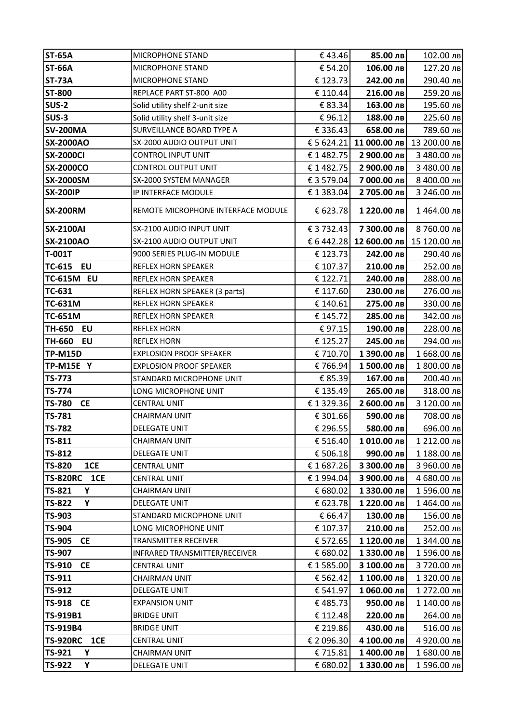| <b>ST-65A</b>              | <b>MICROPHONE STAND</b>                      | €43.46               | 85.00 лв                 | 102.00 лв                            |
|----------------------------|----------------------------------------------|----------------------|--------------------------|--------------------------------------|
| <b>ST-66A</b>              | MICROPHONE STAND                             | € 54.20              | 106.00 лв                | 127.20 лв                            |
| <b>ST-73A</b>              | MICROPHONE STAND                             | € 123.73             | 242.00 лв                | 290.40 лв                            |
| <b>ST-800</b>              | REPLACE PART ST-800 A00                      | € 110.44             | 216.00 лв                | 259.20 лв                            |
| <b>SUS-2</b>               | Solid utility shelf 2-unit size              | € 83.34              | 163.00 лв                | 195.60 лв                            |
| SUS-3                      | Solid utility shelf 3-unit size              | €96.12               | 188.00 лв                | 225.60 лв                            |
| <b>SV-200MA</b>            | SURVEILLANCE BOARD TYPE A                    | € 336.43             | 658.00 лв                | 789.60 лв                            |
| <b>SX-2000AO</b>           | SX-2000 AUDIO OUTPUT UNIT                    | € 5 624.21           | 11 000.00 лв             | 13 200.00 лв                         |
| <b>SX-2000CI</b>           | CONTROL INPUT UNIT                           | €1482.75             | 2 900.00 лв              | 3 480.00 лв                          |
| <b>SX-2000CO</b>           | CONTROL OUTPUT UNIT                          | €1482.75             | 2 900.00 лв              | 3 480.00 лв                          |
| <b>SX-2000SM</b>           | SX-2000 SYSTEM MANAGER                       | € 3 579.04           | 7 000.00 лв              | 8 400.00 лв                          |
| <b>SX-200IP</b>            | IP INTERFACE MODULE                          | € 1 383.04           | 2 705.00 лв              | 3 246.00 лв                          |
| <b>SX-200RM</b>            | REMOTE MICROPHONE INTERFACE MODULE           | € 623.78             | 1 220.00 лв              | 1464.00 лв                           |
| <b>SX-2100AI</b>           | SX-2100 AUDIO INPUT UNIT                     | € 3 732.43           | 7 300.00 лв              | 8 760.00 лв                          |
| <b>SX-2100AO</b>           | SX-2100 AUDIO OUTPUT UNIT                    |                      |                          | € 6 442.28 12 600.00 лв 15 120.00 лв |
| <b>T-001T</b>              | 9000 SERIES PLUG-IN MODULE                   | € 123.73             | 242.00 лв                | 290.40 лв                            |
| TC-615<br><b>EU</b>        | REFLEX HORN SPEAKER                          | € 107.37             | 210.00 лв                | 252.00 лв                            |
| <b>TC-615M EU</b>          | REFLEX HORN SPEAKER                          | € 122.71             | 240.00 лв                | 288.00 лв                            |
| TC-631                     | REFLEX HORN SPEAKER (3 parts)                | € 117.60             | 230.00 лв                | 276.00 лв                            |
| <b>TC-631M</b>             | REFLEX HORN SPEAKER                          | € 140.61             | 275.00 лв                | 330.00 лв                            |
| <b>TC-651M</b>             | REFLEX HORN SPEAKER                          | € 145.72             | 285.00 лв                | 342.00 лв                            |
| TH-650<br><b>EU</b>        | <b>REFLEX HORN</b>                           | €97.15               | 190.00 лв                | 228.00 лв                            |
| TH-660<br>EU               | <b>REFLEX HORN</b>                           | € 125.27             | 245.00 лв                | 294.00 лв                            |
| <b>TP-M15D</b>             | <b>EXPLOSION PROOF SPEAKER</b>               | € 710.70             | 1 390.00 лв              | 1 668.00 лв                          |
| <b>TP-M15E Y</b>           | <b>EXPLOSION PROOF SPEAKER</b>               | € 766.94             | 1500.00 лв               | 1 800.00 лв                          |
| <b>TS-773</b>              | STANDARD MICROPHONE UNIT                     | € 85.39              | 167.00 лв                | 200.40 лв                            |
| <b>TS-774</b>              | LONG MICROPHONE UNIT                         | € 135.49             | 265.00 лв                | 318.00 лв                            |
| <b>TS-780</b><br><b>CE</b> | <b>CENTRAL UNIT</b>                          | € 1 329.36           | 2 600.00 лв              | 3 120.00 лв                          |
| TS-781                     | CHAIRMAN UNIT                                | € 301.66             | 590.00 лв                | 708.00 лв                            |
| <b>TS-782</b>              | <b>DELEGATE UNIT</b>                         | € 296.55             | 580.00 лв                | 696.00 лв                            |
| TS-811                     | CHAIRMAN UNIT                                | € 516.40             | 1 010.00 лв              | 1 212.00 лв                          |
| <b>TS-812</b>              | DELEGATE UNIT                                | € 506.18             | 990.00 лв                | 1 188.00 лв                          |
| <b>TS-820</b><br>1CE       | <b>CENTRAL UNIT</b>                          | €1687.26             | 3 300.00 лв              | 3 960.00 лв                          |
| <b>TS-820RC</b><br>1CE     | <b>CENTRAL UNIT</b>                          | € 1994.04            | 3 900.00 лв              | 4 680.00 лв                          |
| <b>TS-821</b><br>Υ         | <b>CHAIRMAN UNIT</b>                         | € 680.02             | 1 330.00 лв              | 1 596.00 лв                          |
| <b>TS-822</b><br>Υ         | <b>DELEGATE UNIT</b>                         | € 623.78             | 1 220.00 лв              | 1464.00 лв                           |
| TS-903<br><b>TS-904</b>    | STANDARD MICROPHONE UNIT                     | € 66.47              | 130.00 лв                | 156.00 лв                            |
| <b>TS-905</b><br><b>CE</b> | LONG MICROPHONE UNIT<br>TRANSMITTER RECEIVER | € 107.37<br>€ 572.65 | 210.00 лв<br>1 120.00 лв | 252.00 лв                            |
| <b>TS-907</b>              | INFRARED TRANSMITTER/RECEIVER                | € 680.02             | 1 330.00 лв              | 1 344.00 лв<br>1 596.00 лв           |
| TS-910<br><b>CE</b>        | CENTRAL UNIT                                 | €1585.00             | 3 100.00 лв              | 3 720.00 лв                          |
| TS-911                     | CHAIRMAN UNIT                                | € 562.42             | 1 100.00 лв              | 1 320.00 лв                          |
| TS-912                     | <b>DELEGATE UNIT</b>                         | € 541.97             | 1 060.00 лв              | 1 272.00 лв                          |
| <b>TS-918</b><br><b>CE</b> | <b>EXPANSION UNIT</b>                        | €485.73              | 950.00 лв                | 1 140.00 лв                          |
| TS-919B1                   | <b>BRIDGE UNIT</b>                           | € 112.48             | 220.00 лв                | 264.00 лв                            |
| TS-919B4                   | <b>BRIDGE UNIT</b>                           | € 219.86             | 430.00 лв                | 516.00 лв                            |
| <b>TS-920RC</b><br>1CE     | <b>CENTRAL UNIT</b>                          | € 2 096.30           | 4 100.00 лв              | 4 920.00 лв                          |
| TS-921<br>Υ                | CHAIRMAN UNIT                                | € 715.81             | 1400.00 лв               | 1 680.00 лв                          |
| TS-922<br>Υ                | <b>DELEGATE UNIT</b>                         | € 680.02             | 1 330.00 лв              | 1596.00 лв                           |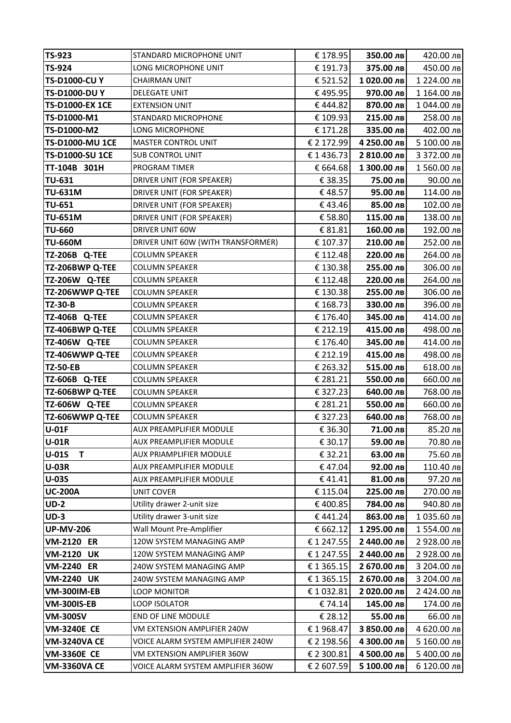| <b>TS-923</b>                  | STANDARD MICROPHONE UNIT              | € 178.95           | 350.00 лв             | 420.00 лв             |
|--------------------------------|---------------------------------------|--------------------|-----------------------|-----------------------|
| <b>TS-924</b>                  | LONG MICROPHONE UNIT                  | € 191.73           | 375.00 лв             | 450.00 лв             |
| <b>TS-D1000-CUY</b>            | <b>CHAIRMAN UNIT</b>                  | € 521.52           | 1020.00 лв            | 1 224.00 лв           |
| <b>TS-D1000-DUY</b>            | <b>DELEGATE UNIT</b>                  | €495.95            | 970.00 лв             | 1 164.00 лв           |
| <b>TS-D1000-EX 1CE</b>         | <b>EXTENSION UNIT</b>                 | €444.82            | 870.00 лв             | 1 044.00 лв           |
| TS-D1000-M1                    | STANDARD MICROPHONE                   | € 109.93           | 215.00 лв             | 258.00 лв             |
| TS-D1000-M2                    | LONG MICROPHONE                       | € 171.28           | 335.00 лв             | 402.00 лв             |
| <b>TS-D1000-MU 1CE</b>         | <b>MASTER CONTROL UNIT</b>            | € 2 172.99         | 4 250.00 лв           | 5 100.00 лв           |
| <b>TS-D1000-SU 1CE</b>         | <b>SUB CONTROL UNIT</b>               | €1436.73           | 2 810.00 лв           | 3 372.00 лв           |
| TT-104B 301H                   | PROGRAM TIMER                         | € 664.68           | 1 300.00 лв           | 1560.00 лв            |
| <b>TU-631</b>                  | DRIVER UNIT (FOR SPEAKER)             | € 38.35            | 75.00 лв              | 90.00 лв              |
| <b>TU-631M</b>                 | DRIVER UNIT (FOR SPEAKER)             | €48.57             | 95.00 лв              | 114.00 лв             |
| <b>TU-651</b>                  | DRIVER UNIT (FOR SPEAKER)             | €43.46             | 85.00 лв              | 102.00 лв             |
| <b>TU-651M</b>                 | DRIVER UNIT (FOR SPEAKER)             | € 58.80            | 115.00 лв             | 138.00 лв             |
| <b>TU-660</b>                  | DRIVER UNIT 60W                       | € 81.81            | 160.00 лв             | 192.00 лв             |
| <b>TU-660M</b>                 | DRIVER UNIT 60W (WITH TRANSFORMER)    | € 107.37           | 210.00 лв             | 252.00 лв             |
| <b>TZ-206B Q-TEE</b>           | <b>COLUMN SPEAKER</b>                 | € 112.48           | 220.00 лв             | 264.00 лв             |
| TZ-206BWP Q-TEE                | <b>COLUMN SPEAKER</b>                 | € 130.38           | 255.00 лв             | 306.00 лв             |
| <b>TZ-206W Q-TEE</b>           | <b>COLUMN SPEAKER</b>                 | € 112.48           | 220.00 лв             | 264.00 лв             |
| TZ-206WWP Q-TEE                | <b>COLUMN SPEAKER</b>                 | € 130.38           | 255.00 лв             | 306.00 лв             |
| <b>TZ-30-B</b>                 | <b>COLUMN SPEAKER</b>                 | € 168.73           | 330.00 лв             | 396.00 лв             |
| TZ-406B Q-TEE                  | <b>COLUMN SPEAKER</b>                 | € 176.40           | 345.00 лв             | 414.00 лв             |
| TZ-406BWP Q-TEE                | <b>COLUMN SPEAKER</b>                 | € 212.19           | 415.00 лв             | 498.00 лв             |
| <b>TZ-406W Q-TEE</b>           | <b>COLUMN SPEAKER</b>                 | € 176.40           | 345.00 лв             | 414.00 лв             |
| TZ-406WWP Q-TEE                | <b>COLUMN SPEAKER</b>                 | € 212.19           | 415.00 лв             | 498.00 лв             |
| <b>TZ-50-EB</b>                | <b>COLUMN SPEAKER</b>                 | € 263.32           | 515.00 лв             | 618.00 лв             |
| TZ-606B Q-TEE                  | <b>COLUMN SPEAKER</b>                 | € 281.21           | 550.00 лв             | 660.00 лв             |
| TZ-606BWP Q-TEE                | <b>COLUMN SPEAKER</b>                 | € 327.23           | 640.00 лв             | 768.00 лв             |
| <b>TZ-606W Q-TEE</b>           | <b>COLUMN SPEAKER</b>                 | € 281.21           | 550.00 лв             | 660.00 лв             |
| TZ-606WWP Q-TEE                | <b>COLUMN SPEAKER</b>                 | € 327.23           | 640.00 лв             | 768.00 лв             |
| U-01F                          | <b>AUX PREAMPLIFIER MODULE</b>        | € 36.30            | 71.00 лв              | 85.20 лв              |
| $U-01R$                        | AUX PREAMPLIFIER MODULE               | € 30.17            | 59.00 лв              | 70.80 лв              |
| T<br>$U-01S$                   | <b>AUX PRIAMPLIFIER MODULE</b>        | € 32.21            | 63.00 лв              | 75.60 лв              |
| <b>U-03R</b>                   | AUX PREAMPLIFIER MODULE               | €47.04             | 92.00 лв              | 110.40 лв             |
| <b>U-03S</b><br><b>UC-200A</b> | AUX PREAMPLIFIER MODULE<br>UNIT COVER | €41.41<br>€ 115.04 | 81.00 лв<br>225.00 лв | 97.20 лв<br>270.00 лв |
| $UD-2$                         | Utility drawer 2-unit size            | €400.85            | 784.00 лв             | 940.80 лв             |
| $UD-3$                         | Utility drawer 3-unit size            | €441.24            | 863.00 лв             | 1 035.60 лв           |
| <b>UP-MV-206</b>               | Wall Mount Pre-Amplifier              | € 662.12           | 1 295.00 лв           | 1554.00 лв            |
| <b>VM-2120 ER</b>              | 120W SYSTEM MANAGING AMP              | € 1 247.55         | 2 440.00 лв           | 2 928.00 лв           |
| <b>VM-2120 UK</b>              | 120W SYSTEM MANAGING AMP              | € 1 247.55         | 2 440.00 лв           | 2 928.00 лв           |
| <b>VM-2240 ER</b>              | 240W SYSTEM MANAGING AMP              | €1365.15           | 2 670.00 лв           | 3 204.00 лв           |
| <b>VM-2240 UK</b>              | 240W SYSTEM MANAGING AMP              | €1365.15           | 2 670.00 лв           | 3 204.00 лв           |
| <b>VM-300IM-EB</b>             | <b>LOOP MONITOR</b>                   | €1032.81           | 2 020.00 лв           | 2 424.00 лв           |
| <b>VM-300IS-EB</b>             | <b>LOOP ISOLATOR</b>                  | €74.14             | 145.00 лв             | 174.00 лв             |
| <b>VM-300SV</b>                | END OF LINE MODULE                    | € 28.12            | 55.00 лв              | 66.00 лв              |
| <b>VM-3240E CE</b>             | VM EXTENSION AMPLIFIER 240W           | €1968.47           | 3 850.00 лв           | 4 620.00 лв           |
| <b>VM-3240VA CE</b>            | VOICE ALARM SYSTEM AMPLIFIER 240W     | € 2 198.56         | 4 300.00 лв           | 5 160.00 лв           |
| <b>VM-3360E CE</b>             | VM EXTENSION AMPLIFIER 360W           | € 2 300.81         | 4 500.00 лв           | 5 400.00 лв           |
| <b>VM-3360VA CE</b>            | VOICE ALARM SYSTEM AMPLIFIER 360W     | € 2 607.59         | 5 100.00 лв           | 6 120.00 лв           |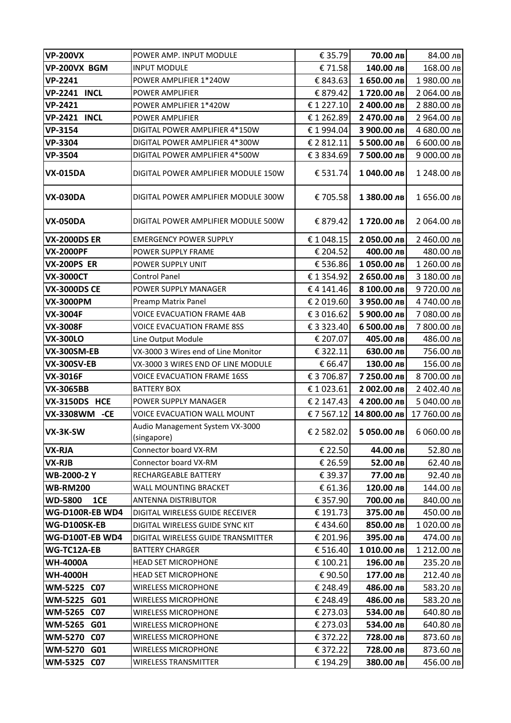| <b>VP-200VX</b><br>€ 35.79<br>70.00 лв<br>84.00 лв<br>VP-200VX BGM<br>€71.58<br>140.00 лв<br><b>INPUT MODULE</b><br>168.00 лв<br><b>VP-2241</b><br>1 650.00 лв<br>POWER AMPLIFIER 1*240W<br>€ 843.63<br>1980.00 лв |  |
|--------------------------------------------------------------------------------------------------------------------------------------------------------------------------------------------------------------------|--|
|                                                                                                                                                                                                                    |  |
|                                                                                                                                                                                                                    |  |
| <b>VP-2241 INCL</b><br>€ 879.42<br>1720.00 лв<br>2 064.00 лв<br><b>POWER AMPLIFIER</b>                                                                                                                             |  |
| <b>VP-2421</b><br>2 400.00 лв<br>€ 1 227.10<br>2 880.00 лв<br>POWER AMPLIFIER 1*420W                                                                                                                               |  |
| <b>VP-2421 INCL</b><br>€1262.89<br>2 470.00 лв<br>2 964.00 лв<br>POWER AMPLIFIER                                                                                                                                   |  |
| <b>VP-3154</b><br>DIGITAL POWER AMPLIFIER 4*150W<br>€1994.04<br>3 900.00 лв<br>4 680.00 лв                                                                                                                         |  |
| <b>VP-3304</b><br>€ 2 812.11<br>5 500.00 лв<br>6 600.00 лв<br>DIGITAL POWER AMPLIFIER 4*300W                                                                                                                       |  |
| € 3 834.69<br>7 500.00 лв<br><b>VP-3504</b><br>9 000.00 лв<br>DIGITAL POWER AMPLIFIER 4*500W                                                                                                                       |  |
| € 531.74<br>1 040.00 лв<br><b>VX-015DA</b><br>1 248.00 лв<br>DIGITAL POWER AMPLIFIER MODULE 150W                                                                                                                   |  |
| € 705.58<br>1 380.00 лв<br><b>VX-030DA</b><br>DIGITAL POWER AMPLIFIER MODULE 300W<br>1 656.00 лв                                                                                                                   |  |
| € 879.42<br>1720.00 лв<br>2 064.00 лв<br><b>VX-050DA</b><br>DIGITAL POWER AMPLIFIER MODULE 500W                                                                                                                    |  |
| <b>VX-2000DS ER</b><br><b>EMERGENCY POWER SUPPLY</b><br>€ 1 048.15<br>2 050.00 лв<br>2 460.00 лв                                                                                                                   |  |
| <b>VX-2000PF</b><br>€ 204.52<br>400.00 лв<br>480.00 лв<br>POWER SUPPLY FRAME                                                                                                                                       |  |
| <b>VX-200PS ER</b><br>€ 536.86<br>1050.00 лв<br>1 260.00 лв<br>POWER SUPPLY UNIT                                                                                                                                   |  |
| <b>VX-3000CT</b><br>€1354.92<br>2 650.00 лв<br>3 180.00 лв<br><b>Control Panel</b>                                                                                                                                 |  |
| <b>VX-3000DS CE</b><br>€4141.46<br>8 100.00 лв<br>9720.00 лв<br>POWER SUPPLY MANAGER                                                                                                                               |  |
| € 2 019.60<br>3 950.00 лв<br>4740.00 лв<br><b>VX-3000PM</b><br>Preamp Matrix Panel                                                                                                                                 |  |
| <b>VOICE EVACUATION FRAME 4AB</b><br>€3016.62<br>7 080.00 лв<br><b>VX-3004F</b><br>5 900.00 лв                                                                                                                     |  |
| €3323.40<br>6 500.00 лв<br>7 800.00 лв<br><b>VX-3008F</b><br><b>VOICE EVACUATION FRAME 8SS</b>                                                                                                                     |  |
| <b>VX-300LO</b><br>€ 207.07<br>405.00 лв<br>486.00 лв<br>Line Output Module                                                                                                                                        |  |
| VX-3000 3 Wires end of Line Monitor<br>VX-300SM-EB<br>€ 322.11<br>630.00 лв<br>756.00 лв                                                                                                                           |  |
| 130.00 лв<br><b>VX-300SV-EB</b><br>VX-3000 3 WIRES END OF LINE MODULE<br>€ 66.47<br>156.00 лв                                                                                                                      |  |
| € 3 706.87<br>7 250.00 лв<br>8 700.00 лв<br><b>VX-3016F</b><br><b>VOICE EVACUATION FRAME 16SS</b>                                                                                                                  |  |
| 2 002.00 лв<br><b>VX-3065BB</b><br><b>BATTERY BOX</b><br>€1023.61<br>2 402.40 лв                                                                                                                                   |  |
| <b>VX-3150DS HCE</b><br>€ 2 147.43<br>4 200.00 лв<br>5 040.00 лв<br>POWER SUPPLY MANAGER                                                                                                                           |  |
| VX-3308WM -CE<br>14 800.00 лв<br>17 760.00 лв<br>VOICE EVACUATION WALL MOUNT<br>€7567.12                                                                                                                           |  |
| Audio Management System VX-3000<br>€ 2 582.02<br>5 050.00 лв 6 060.00 лв<br>VX-3K-SW<br>(singapore)                                                                                                                |  |
| VX-RJA<br>Connector board VX-RM<br>€ 22.50<br>44.00 лв<br>52.80 лв                                                                                                                                                 |  |
| Connector board VX-RM<br>€ 26.59<br>52.00 лв<br>62.40 лв<br>VX-RJB                                                                                                                                                 |  |
| <b>WB-2000-2 Y</b><br>RECHARGEABLE BATTERY<br>€ 39.37<br>77.00 лв<br>92.40 лв                                                                                                                                      |  |
| <b>WB-RM200</b><br>120.00 лв<br>WALL MOUNTING BRACKET<br>€ 61.36<br>144.00 лв                                                                                                                                      |  |
| 1CE<br><b>WD-5800</b><br><b>ANTENNA DISTRIBUTOR</b><br>€ 357.90<br>700.00 лв<br>840.00 лв                                                                                                                          |  |
| WG-D100R-EB WD4<br>375.00 лв<br>450.00 лв<br><b>DIGITAL WIRELESS GUIDE RECEIVER</b><br>€ 191.73                                                                                                                    |  |
| WG-D100SK-EB<br>DIGITAL WIRELESS GUIDE SYNC KIT<br>€434.60<br>850.00 лв<br>1020.00 лв                                                                                                                              |  |
| <b>WG-D100T-EB WD4</b><br>€ 201.96<br>395.00 лв<br>DIGITAL WIRELESS GUIDE TRANSMITTER<br>474.00 лв                                                                                                                 |  |
| € 516.40<br>WG-TC12A-EB<br><b>BATTERY CHARGER</b><br>1010.00 лв<br>1 212.00 лв                                                                                                                                     |  |
| <b>WH-4000A</b><br><b>HEAD SET MICROPHONE</b><br>€ 100.21<br>196.00 лв<br>235.20 лв                                                                                                                                |  |
| € 90.50<br><b>WH-4000H</b><br><b>HEAD SET MICROPHONE</b><br>177.00 лв<br>212.40 лв<br>WM-5225 C07<br>€ 248.49<br>486.00 лв<br>583.20 лв<br><b>WIRELESS MICROPHONE</b>                                              |  |
| <b>WM-5225</b><br>G01<br>€ 248.49<br>486.00 лв<br>583.20 лв                                                                                                                                                        |  |
| <b>WIRELESS MICROPHONE</b><br><b>WM-5265</b><br><b>WIRELESS MICROPHONE</b><br>€ 273.03<br>534.00 лв<br><b>C07</b><br>640.80 лв                                                                                     |  |
| WM-5265 G01<br>€ 273.03<br>534.00 лв<br><b>WIRELESS MICROPHONE</b><br>640.80 лв                                                                                                                                    |  |
| <b>C07</b><br>€ 372.22<br>WM-5270<br><b>WIRELESS MICROPHONE</b><br>728.00 лв<br>873.60 лв                                                                                                                          |  |
| <b>WM-5270</b><br>G01<br><b>WIRELESS MICROPHONE</b><br>€ 372.22<br>728.00 лв<br>873.60 лв                                                                                                                          |  |
| WM-5325<br><b>C07</b><br><b>WIRELESS TRANSMITTER</b><br>€ 194.29<br>380.00 лв<br>456.00 лв                                                                                                                         |  |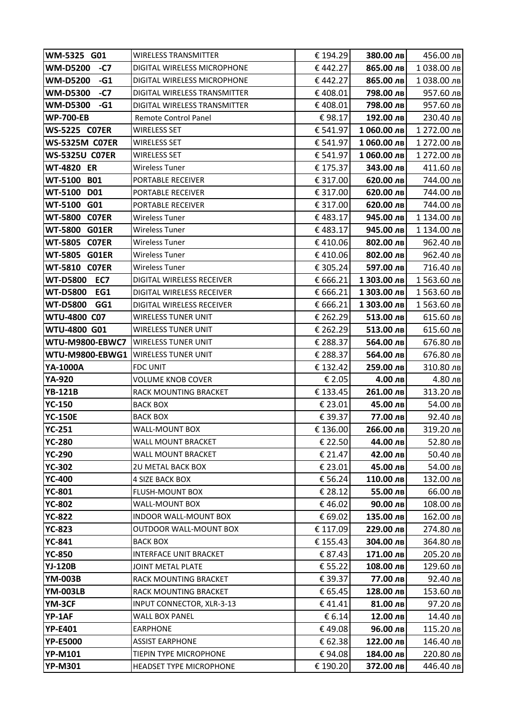| WM-5325 G01                           | <b>WIRELESS TRANSMITTER</b>                | € 194.29          | 380.00 лв             | 456.00 лв             |
|---------------------------------------|--------------------------------------------|-------------------|-----------------------|-----------------------|
| <b>WM-D5200</b><br>-C7                | DIGITAL WIRELESS MICROPHONE                | €442.27           | 865.00 лв             | 1038.00 лв            |
| $-G1$<br><b>WM-D5200</b>              | DIGITAL WIRELESS MICROPHONE                | €442.27           | 865.00 лв             | 1038.00 лв            |
| <b>WM-D5300</b><br>$-C7$              | DIGITAL WIRELESS TRANSMITTER               | €408.01           | 798.00 лв             | 957.60 лв             |
| <b>WM-D5300</b><br>$-G1$              | DIGITAL WIRELESS TRANSMITTER               | €408.01           | 798.00 лв             | 957.60 лв             |
| <b>WP-700-EB</b>                      | <b>Remote Control Panel</b>                | €98.17            | 192.00 лв             | 230.40 лв             |
| <b>WS-5225 C07ER</b>                  | <b>WIRELESS SET</b>                        | € 541.97          | 1 060.00 лв           | 1 272.00 лв           |
| <b>WS-5325M C07ER</b>                 | <b>WIRELESS SET</b>                        | € 541.97          | 1 060.00 лв           | 1 272.00 лв           |
| <b>WS-5325U C07ER</b>                 | <b>WIRELESS SET</b>                        | € 541.97          | 1060.00 лв            | 1 272.00 лв           |
| <b>WT-4820 ER</b>                     | Wireless Tuner                             | € 175.37          | 343.00 лв             | 411.60 лв             |
| WT-5100 B01                           | PORTABLE RECEIVER                          | € 317.00          | 620.00 лв             | 744.00 лв             |
| WT-5100 D01                           | PORTABLE RECEIVER                          | € 317.00          | 620.00 лв             | 744.00 лв             |
| WT-5100 G01                           | PORTABLE RECEIVER                          | € 317.00          | 620.00 лв             | 744.00 лв             |
| <b>WT-5800 C07ER</b>                  | <b>Wireless Tuner</b>                      | €483.17           | 945.00 лв             | 1 134.00 лв           |
| <b>WT-5800 G01ER</b>                  | <b>Wireless Tuner</b>                      | €483.17           | 945.00 лв             | 1 134.00 лв           |
| <b>WT-5805 C07ER</b>                  | <b>Wireless Tuner</b>                      | €410.06           | 802.00 лв             | 962.40 лв             |
| WT-5805 G01ER                         | <b>Wireless Tuner</b>                      | €410.06           | 802.00 лв             | 962.40 лв             |
| <b>WT-5810 C07ER</b>                  | <b>Wireless Tuner</b>                      | € 305.24          | 597.00 лв             | 716.40 лв             |
| <b>WT-D5800 EC7</b>                   | <b>DIGITAL WIRELESS RECEIVER</b>           | € 666.21          | 1 303.00 лв           | 1 563.60 лв           |
| <b>WT-D5800</b><br>EG1                | DIGITAL WIRELESS RECEIVER                  | € 666.21          | 1 303.00 лв           | 1 563.60 лв           |
| GG1<br><b>WT-D5800</b>                | DIGITAL WIRELESS RECEIVER                  | € 666.21          | 1 303.00 лв           | 1 563.60 лв           |
| WTU-4800 C07                          | <b>WIRELESS TUNER UNIT</b>                 | € 262.29          | 513.00 лв             | 615.60 лв             |
| WTU-4800 G01                          | <b>WIRELESS TUNER UNIT</b>                 | € 262.29          | 513.00 лв             | 615.60 лв             |
| <b>WTU-M9800-EBWC7</b>                | <b>WIRELESS TUNER UNIT</b>                 | € 288.37          | 564.00 лв             | 676.80 лв             |
| WTU-M9800-EBWG1   WIRELESS TUNER UNIT |                                            | € 288.37          | 564.00 лв             | 676.80 лв             |
| YA-1000A                              | <b>FDC UNIT</b>                            | € 132.42          | 259.00 лв             | 310.80 лв             |
| YA-920                                | <b>VOLUME KNOB COVER</b>                   | € 2.05            | 4.00 лв               | 4.80 лв               |
| <b>YB-121B</b>                        | RACK MOUNTING BRACKET                      | € 133.45          | 261.00 лв             | 313.20 лв             |
| <b>YC-150</b>                         | <b>BACK BOX</b>                            | € 23.01           | 45.00 лв              | 54.00 лв              |
| <b>YC-150E</b>                        | <b>BACK BOX</b>                            | € 39.37           | 77.00 лв              | 92.40 лв              |
| <b>YC-251</b>                         | <b>WALL-MOUNT BOX</b>                      | € 136.00          | 266.00 лв             | 319.20 лв             |
| <b>YC-280</b>                         | <b>WALL MOUNT BRACKET</b>                  | € 22.50           | 44.00 лв              | 52.80 лв              |
| <b>YC-290</b>                         | WALL MOUNT BRACKET                         | € 21.47           | 42.00 лв              | 50.40 лв              |
| <b>YC-302</b>                         | <b>2U METAL BACK BOX</b>                   | € 23.01           | 45.00 лв              | 54.00 лв              |
| <b>YC-400</b>                         | <b>4 SIZE BACK BOX</b>                     | € 56.24           | 110.00 лв             | 132.00 лв             |
| <b>YC-801</b>                         | FLUSH-MOUNT BOX                            | € 28.12           | 55.00 лв              | 66.00 лв              |
| <b>YC-802</b>                         | WALL-MOUNT BOX                             | €46.02            | 90.00 лв              | 108.00 лв             |
| <b>YC-822</b>                         | <b>INDOOR WALL-MOUNT BOX</b>               | € 69.02           | 135.00 лв             | 162.00 лв             |
| <b>YC-823</b>                         | OUTDOOR WALL-MOUNT BOX                     | € 117.09          | 229.00 лв             | 274.80 лв             |
| <b>YC-841</b>                         | <b>BACK BOX</b>                            | € 155.43          | 304.00 лв             | 364.80 лв             |
| <b>YC-850</b>                         | <b>INTERFACE UNIT BRACKET</b>              | € 87.43           | 171.00 лв             | 205.20 лв             |
| <b>YJ-120B</b><br><b>YM-003B</b>      | JOINT METAL PLATE<br>RACK MOUNTING BRACKET | € 55.22           | 108.00 лв<br>77.00 лв | 129.60 лв             |
| <b>YM-003LB</b>                       | RACK MOUNTING BRACKET                      | € 39.37           | 128.00 лв             | 92.40 лв              |
| YM-3CF                                | INPUT CONNECTOR, XLR-3-13                  | € 65.45<br>€41.41 | 81.00 лв              | 153.60 лв<br>97.20 лв |
| YP-1AF                                | <b>WALL BOX PANEL</b>                      | € 6.14            | 12.00 лв              | 14.40 лв              |
| <b>YP-E401</b>                        | <b>EARPHONE</b>                            | €49.08            | 96.00 лв              | 115.20 лв             |
| <b>YP-E5000</b>                       | <b>ASSIST EARPHONE</b>                     | € 62.38           | 122.00 лв             | 146.40 лв             |
| <b>YP-M101</b>                        | TIEPIN TYPE MICROPHONE                     | €94.08            | 184.00 лв             | 220.80 лв             |
| <b>YP-M301</b>                        | <b>HEADSET TYPE MICROPHONE</b>             | € 190.20          | 372.00 лв             | 446.40 лв             |
|                                       |                                            |                   |                       |                       |